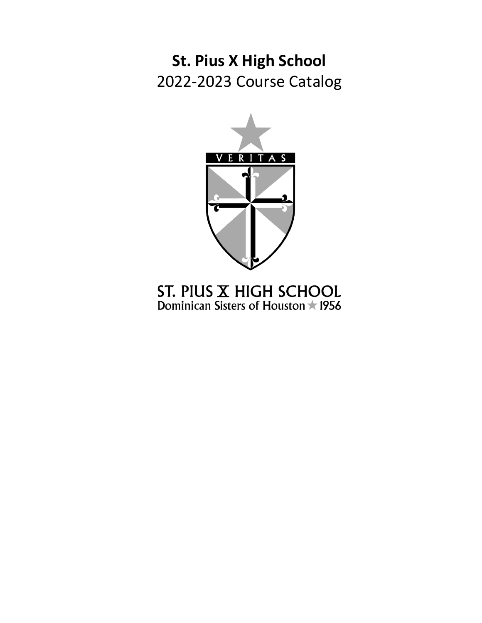**St. Pius X High School** 2022-2023 Course Catalog



ST. PIUS  $X$  HIGH SCHOOL<br>Dominican Sisters of Houston  $\star$  1956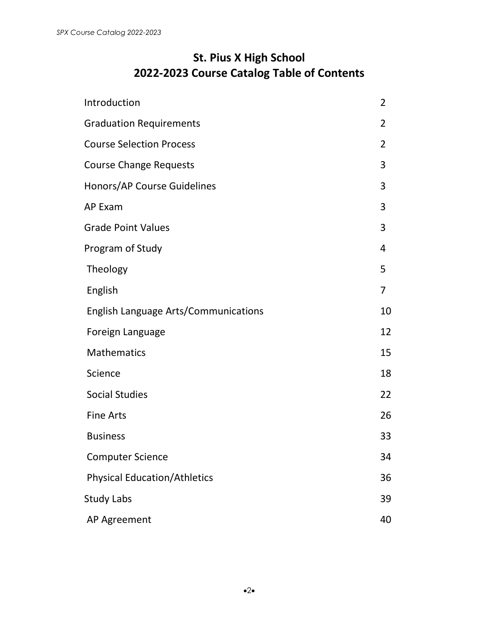# **St. Pius X High School 2022-2023 Course Catalog Table of Contents**

| Introduction                         | $\overline{2}$ |
|--------------------------------------|----------------|
| <b>Graduation Requirements</b>       | $\overline{2}$ |
| <b>Course Selection Process</b>      | 2              |
| <b>Course Change Requests</b>        | 3              |
| Honors/AP Course Guidelines          | 3              |
| <b>AP Exam</b>                       | 3              |
| <b>Grade Point Values</b>            | 3              |
| Program of Study                     | 4              |
| Theology                             | 5              |
| English                              | $\overline{7}$ |
| English Language Arts/Communications | 10             |
| Foreign Language                     | 12             |
| <b>Mathematics</b>                   | 15             |
| Science                              | 18             |
| <b>Social Studies</b>                | 22             |
| <b>Fine Arts</b>                     | 26             |
| <b>Business</b>                      | 33             |
| <b>Computer Science</b>              | 34             |
| <b>Physical Education/Athletics</b>  | 36             |
| <b>Study Labs</b>                    | 39             |
| AP Agreement                         | 40             |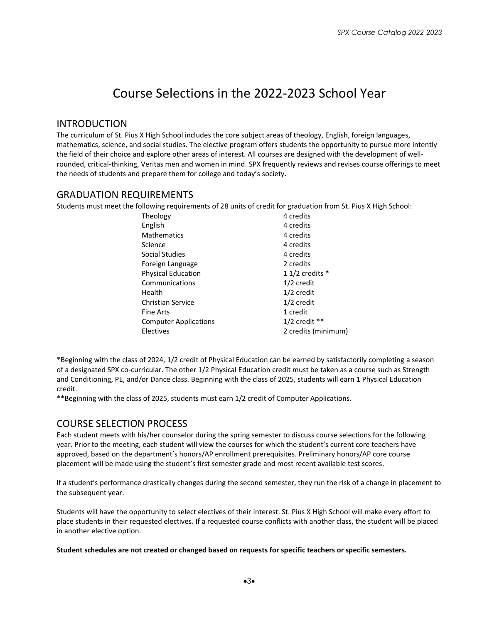# Course Selections in the 2022-2023 School Year

#### INTRODUCTION

The curriculum of St. Pius X High School includes the core subject areas of theology, English, foreign languages, mathematics, science, and social studies. The elective program offers students the opportunity to pursue more intently the field of their choice and explore other areas of interest. All courses are designed with the development of wellrounded, critical-thinking, Veritas men and women in mind. SPX frequently reviews and revises course offerings to meet the needs of students and prepare them for college and today's society.

### GRADUATION REQUIREMENTS

Students must meet the following requirements of 28 units of credit for graduation from St. Pius X High School:

| 4 credits           |
|---------------------|
| 4 credits           |
| 4 credits           |
| 4 credits           |
| 4 credits           |
| 2 credits           |
| 1 1/2 credits $*$   |
| $1/2$ credit        |
| $1/2$ credit        |
| $1/2$ credit        |
| 1 credit            |
| $1/2$ credit **     |
| 2 credits (minimum) |
|                     |

\*Beginning with the class of 2024, 1/2 credit of Physical Education can be earned by satisfactorily completing a season of a designated SPX co-curricular. The other 1/2 Physical Education credit must be taken as a course such as Strength and Conditioning, PE, and/or Dance class. Beginning with the class of 2025, students will earn 1 Physical Education credit.

\*\*Beginning with the class of 2025, students must earn 1/2 credit of Computer Applications.

# COURSE SELECTION PROCESS

Each student meets with his/her counselor during the spring semester to discuss course selections for the following year. Prior to the meeting, each student will view the courses for which the student's current core teachers have approved, based on the department's honors/AP enrollment prerequisites. Preliminary honors/AP core course placement will be made using the student's first semester grade and most recent available test scores.

If a student's performance drastically changes during the second semester, they run the risk of a change in placement to the subsequent year.

Students will have the opportunity to select electives of their interest. St. Pius X High School will make every effort to place students in their requested electives. If a requested course conflicts with another class, the student will be placed in another elective option.

#### **Student schedules are not created or changed based on requests for specific teachers or specific semesters.**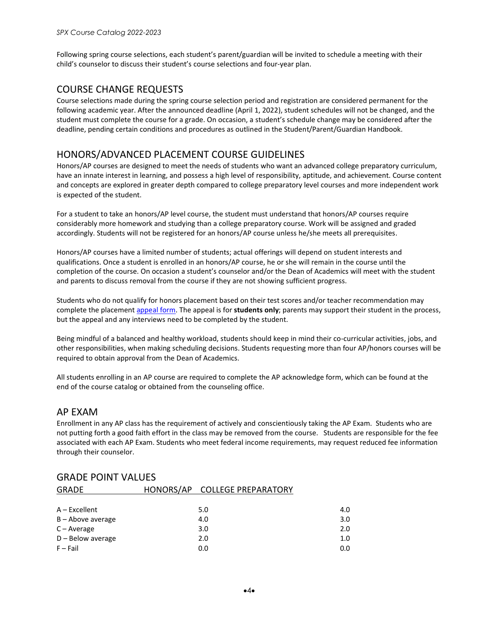Following spring course selections, each student's parent/guardian will be invited to schedule a meeting with their child's counselor to discuss their student's course selections and four-year plan.

### COURSE CHANGE REQUESTS

Course selections made during the spring course selection period and registration are considered permanent for the following academic year. After the announced deadline (April 1, 2022), student schedules will not be changed, and the student must complete the course for a grade. On occasion, a student's schedule change may be considered after the deadline, pending certain conditions and procedures as outlined in the Student/Parent/Guardian Handbook.

### HONORS/ADVANCED PLACEMENT COURSE GUIDELINES

Honors/AP courses are designed to meet the needs of students who want an advanced college preparatory curriculum, have an innate interest in learning, and possess a high level of responsibility, aptitude, and achievement. Course content and concepts are explored in greater depth compared to college preparatory level courses and more independent work is expected of the student.

For a student to take an honors/AP level course, the student must understand that honors/AP courses require considerably more homework and studying than a college preparatory course. Work will be assigned and graded accordingly. Students will not be registered for an honors/AP course unless he/she meets all prerequisites.

Honors/AP courses have a limited number of students; actual offerings will depend on student interests and qualifications. Once a student is enrolled in an honors/AP course, he or she will remain in the course until the completion of the course. On occasion a student's counselor and/or the Dean of Academics will meet with the student and parents to discuss removal from the course if they are not showing sufficient progress.

Students who do not qualify for honors placement based on their test scores and/or teacher recommendation may complete the placement [appeal form.](https://forms.office.com/Pages/ResponsePage.aspx?id=5cnbesyz3UKphwPJhk1IlGLXLb8PFg9FvfeVIQ2TzHhUMkpFSDJFRTNSTzdPOE00WTU2S0ZRWTlDNi4u) The appeal is for **students only**; parents may support their student in the process, but the appeal and any interviews need to be completed by the student.

Being mindful of a balanced and healthy workload, students should keep in mind their co-curricular activities, jobs, and other responsibilities, when making scheduling decisions. Students requesting more than four AP/honors courses will be required to obtain approval from the Dean of Academics.

All students enrolling in an AP course are required to complete the AP acknowledge form, which can be found at the end of the course catalog or obtained from the counseling office.

### AP EXAM

Enrollment in any AP class has the requirement of actively and conscientiously taking the AP Exam. Students who are not putting forth a good faith effort in the class may be removed from the course. Students are responsible for the fee associated with each AP Exam. Students who meet federal income requirements, may request reduced fee information through their counselor.

| <b>GRADE</b>        | HONORS/AP COLLEGE PREPARATORY |                  |
|---------------------|-------------------------------|------------------|
|                     |                               |                  |
| A - Excellent       | 5.0                           | 4.0              |
| B - Above average   | 4.0                           | 3.0 <sub>2</sub> |
| $C - Average$       | 3.0                           | 2.0              |
| $D -$ Below average | 2.0                           | 1.0 <sub>1</sub> |
| $F - Fail$          | 0.0                           | 0.0              |

#### GRADE POINT VALUES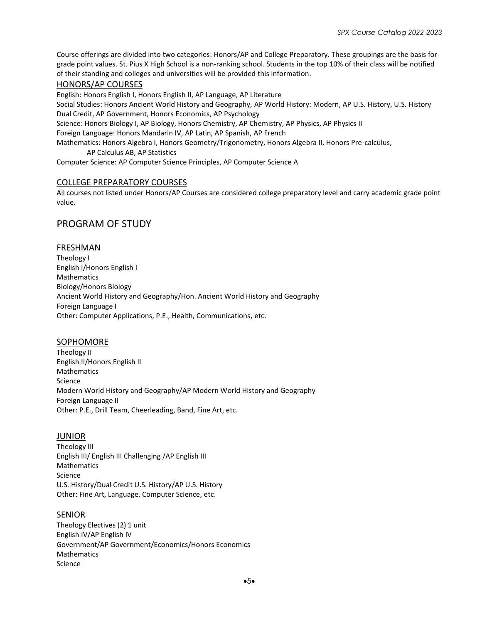Course offerings are divided into two categories: Honors/AP and College Preparatory. These groupings are the basis for grade point values. St. Pius X High School is a non-ranking school. Students in the top 10% of their class will be notified of their standing and colleges and universities will be provided this information.

#### HONORS/AP COURSES

English: Honors English I, Honors English II, AP Language, AP Literature

Social Studies: Honors Ancient World History and Geography, AP World History: Modern, AP U.S. History, U.S. History Dual Credit, AP Government, Honors Economics, AP Psychology

Science: Honors Biology I, AP Biology, Honors Chemistry, AP Chemistry, AP Physics, AP Physics II

Foreign Language: Honors Mandarin IV, AP Latin, AP Spanish, AP French

Mathematics: Honors Algebra I, Honors Geometry/Trigonometry, Honors Algebra II, Honors Pre-calculus,

AP Calculus AB, AP Statistics

Computer Science: AP Computer Science Principles, AP Computer Science A

#### COLLEGE PREPARATORY COURSES

All courses not listed under Honors/AP Courses are considered college preparatory level and carry academic grade point value.

### PROGRAM OF STUDY

#### FRESHMAN

Theology I English I/Honors English I Mathematics Biology/Honors Biology Ancient World History and Geography/Hon. Ancient World History and Geography Foreign Language I Other: Computer Applications, P.E., Health, Communications, etc.

#### SOPHOMORE

Theology II English II/Honors English II Mathematics Science Modern World History and Geography/AP Modern World History and Geography Foreign Language II Other: P.E., Drill Team, Cheerleading, Band, Fine Art, etc.

#### JUNIOR

Theology III English III/ English III Challenging /AP English III **Mathematics** Science U.S. History/Dual Credit U.S. History/AP U.S. History Other: Fine Art, Language, Computer Science, etc.

#### **SENIOR**

Theology Electives (2) 1 unit English IV/AP English IV Government/AP Government/Economics/Honors Economics Mathematics Science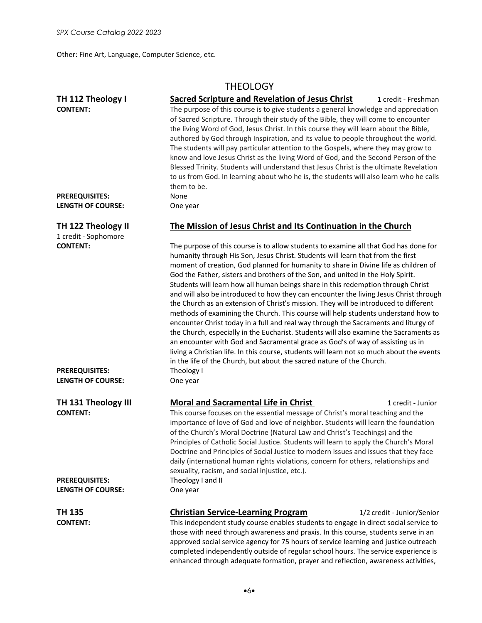Other: Fine Art, Language, Computer Science, etc.

# **THEOLOGY**

| TH 112 Theology I                                                                     | <b>Sacred Scripture and Revelation of Jesus Christ</b><br>1 credit - Freshman                                                                                           |  |  |
|---------------------------------------------------------------------------------------|-------------------------------------------------------------------------------------------------------------------------------------------------------------------------|--|--|
| <b>CONTENT:</b>                                                                       | The purpose of this course is to give students a general knowledge and appreciation                                                                                     |  |  |
|                                                                                       | of Sacred Scripture. Through their study of the Bible, they will come to encounter                                                                                      |  |  |
|                                                                                       | the living Word of God, Jesus Christ. In this course they will learn about the Bible,                                                                                   |  |  |
|                                                                                       | authored by God through Inspiration, and its value to people throughout the world.                                                                                      |  |  |
|                                                                                       | The students will pay particular attention to the Gospels, where they may grow to                                                                                       |  |  |
|                                                                                       | know and love Jesus Christ as the living Word of God, and the Second Person of the                                                                                      |  |  |
|                                                                                       |                                                                                                                                                                         |  |  |
|                                                                                       | Blessed Trinity. Students will understand that Jesus Christ is the ultimate Revelation                                                                                  |  |  |
|                                                                                       | to us from God. In learning about who he is, the students will also learn who he calls                                                                                  |  |  |
|                                                                                       | them to be.                                                                                                                                                             |  |  |
| <b>PREREQUISITES:</b>                                                                 | None                                                                                                                                                                    |  |  |
| <b>LENGTH OF COURSE:</b>                                                              | One year                                                                                                                                                                |  |  |
| TH 122 Theology II                                                                    | The Mission of Jesus Christ and Its Continuation in the Church                                                                                                          |  |  |
| 1 credit - Sophomore                                                                  |                                                                                                                                                                         |  |  |
| <b>CONTENT:</b>                                                                       | The purpose of this course is to allow students to examine all that God has done for<br>humanity through His Son, Jesus Christ. Students will learn that from the first |  |  |
|                                                                                       | moment of creation, God planned for humanity to share in Divine life as children of                                                                                     |  |  |
|                                                                                       | God the Father, sisters and brothers of the Son, and united in the Holy Spirit.                                                                                         |  |  |
|                                                                                       | Students will learn how all human beings share in this redemption through Christ                                                                                        |  |  |
|                                                                                       | and will also be introduced to how they can encounter the living Jesus Christ through                                                                                   |  |  |
|                                                                                       | the Church as an extension of Christ's mission. They will be introduced to different                                                                                    |  |  |
|                                                                                       | methods of examining the Church. This course will help students understand how to                                                                                       |  |  |
|                                                                                       |                                                                                                                                                                         |  |  |
|                                                                                       | encounter Christ today in a full and real way through the Sacraments and liturgy of                                                                                     |  |  |
| the Church, especially in the Eucharist. Students will also examine the Sacraments as |                                                                                                                                                                         |  |  |
|                                                                                       | an encounter with God and Sacramental grace as God's of way of assisting us in                                                                                          |  |  |
|                                                                                       | living a Christian life. In this course, students will learn not so much about the events                                                                               |  |  |
|                                                                                       | in the life of the Church, but about the sacred nature of the Church.                                                                                                   |  |  |
| <b>PREREQUISITES:</b>                                                                 | Theology I                                                                                                                                                              |  |  |
| <b>LENGTH OF COURSE:</b>                                                              | One year                                                                                                                                                                |  |  |
| TH 131 Theology III                                                                   | <b>Moral and Sacramental Life in Christ</b><br>1 credit - Junior                                                                                                        |  |  |
| <b>CONTENT:</b>                                                                       | This course focuses on the essential message of Christ's moral teaching and the                                                                                         |  |  |
|                                                                                       | importance of love of God and love of neighbor. Students will learn the foundation                                                                                      |  |  |
|                                                                                       | of the Church's Moral Doctrine (Natural Law and Christ's Teachings) and the                                                                                             |  |  |
|                                                                                       | Principles of Catholic Social Justice. Students will learn to apply the Church's Moral                                                                                  |  |  |
|                                                                                       | Doctrine and Principles of Social Justice to modern issues and issues that they face                                                                                    |  |  |
|                                                                                       | daily (international human rights violations, concern for others, relationships and                                                                                     |  |  |
|                                                                                       | sexuality, racism, and social injustice, etc.).                                                                                                                         |  |  |
|                                                                                       |                                                                                                                                                                         |  |  |
| <b>PREREQUISITES:</b>                                                                 | Theology I and II                                                                                                                                                       |  |  |
| <b>LENGTH OF COURSE:</b>                                                              | One year                                                                                                                                                                |  |  |
| <b>TH 135</b>                                                                         | <b>Christian Service-Learning Program</b><br>1/2 credit - Junior/Senior                                                                                                 |  |  |
| <b>CONTENT:</b>                                                                       | This independent study course enables students to engage in direct social service to                                                                                    |  |  |
|                                                                                       | those with need through awareness and praxis. In this course, students serve in an                                                                                      |  |  |
|                                                                                       | , with a second of $f$ and $\overline{f}$ . In account of the second and the second or an all the                                                                       |  |  |

approved social service agency for 75 hours of service learning and justice outreach completed independently outside of regular school hours. The service experience is enhanced through adequate formation, prayer and reflection, awareness activities,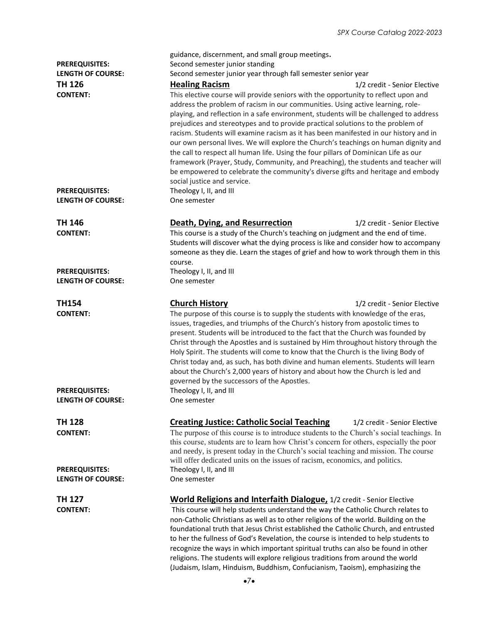| <b>PREREQUISITES:</b><br><b>LENGTH OF COURSE:</b><br><b>TH 126</b><br><b>CONTENT:</b> | guidance, discernment, and small group meetings.<br>Second semester junior standing<br>Second semester junior year through fall semester senior year<br><b>Healing Racism</b><br>1/2 credit - Senior Elective<br>This elective course will provide seniors with the opportunity to reflect upon and<br>address the problem of racism in our communities. Using active learning, role-<br>playing, and reflection in a safe environment, students will be challenged to address<br>prejudices and stereotypes and to provide practical solutions to the problem of<br>racism. Students will examine racism as it has been manifested in our history and in<br>our own personal lives. We will explore the Church's teachings on human dignity and<br>the call to respect all human life. Using the four pillars of Dominican Life as our<br>framework (Prayer, Study, Community, and Preaching), the students and teacher will<br>be empowered to celebrate the community's diverse gifts and heritage and embody<br>social justice and service. |
|---------------------------------------------------------------------------------------|-------------------------------------------------------------------------------------------------------------------------------------------------------------------------------------------------------------------------------------------------------------------------------------------------------------------------------------------------------------------------------------------------------------------------------------------------------------------------------------------------------------------------------------------------------------------------------------------------------------------------------------------------------------------------------------------------------------------------------------------------------------------------------------------------------------------------------------------------------------------------------------------------------------------------------------------------------------------------------------------------------------------------------------------------|
| <b>PREREQUISITES:</b><br><b>LENGTH OF COURSE:</b>                                     | Theology I, II, and III<br>One semester                                                                                                                                                                                                                                                                                                                                                                                                                                                                                                                                                                                                                                                                                                                                                                                                                                                                                                                                                                                                         |
| TH 146<br><b>CONTENT:</b>                                                             | Death, Dying, and Resurrection<br>1/2 credit - Senior Elective<br>This course is a study of the Church's teaching on judgment and the end of time.<br>Students will discover what the dying process is like and consider how to accompany<br>someone as they die. Learn the stages of grief and how to work through them in this<br>course.                                                                                                                                                                                                                                                                                                                                                                                                                                                                                                                                                                                                                                                                                                     |
| <b>PREREQUISITES:</b><br>LENGTH OF COURSE:                                            | Theology I, II, and III<br>One semester                                                                                                                                                                                                                                                                                                                                                                                                                                                                                                                                                                                                                                                                                                                                                                                                                                                                                                                                                                                                         |
| <b>TH154</b><br><b>CONTENT:</b>                                                       | <b>Church History</b><br>1/2 credit - Senior Elective<br>The purpose of this course is to supply the students with knowledge of the eras,<br>issues, tragedies, and triumphs of the Church's history from apostolic times to<br>present. Students will be introduced to the fact that the Church was founded by<br>Christ through the Apostles and is sustained by Him throughout history through the<br>Holy Spirit. The students will come to know that the Church is the living Body of<br>Christ today and, as such, has both divine and human elements. Students will learn<br>about the Church's 2,000 years of history and about how the Church is led and<br>governed by the successors of the Apostles.                                                                                                                                                                                                                                                                                                                                |
| <b>PREREQUISITES:</b><br><b>LENGTH OF COURSE:</b>                                     | Theology I, II, and III<br>One semester                                                                                                                                                                                                                                                                                                                                                                                                                                                                                                                                                                                                                                                                                                                                                                                                                                                                                                                                                                                                         |
| <b>TH 128</b><br><b>CONTENT:</b>                                                      | <b>Creating Justice: Catholic Social Teaching</b><br>1/2 credit - Senior Elective<br>The purpose of this course is to introduce students to the Church's social teachings. In<br>this course, students are to learn how Christ's concern for others, especially the poor<br>and needy, is present today in the Church's social teaching and mission. The course<br>will offer dedicated units on the issues of racism, economics, and politics.                                                                                                                                                                                                                                                                                                                                                                                                                                                                                                                                                                                                 |
| <b>PREREQUISITES:</b><br><b>LENGTH OF COURSE:</b>                                     | Theology I, II, and III<br>One semester                                                                                                                                                                                                                                                                                                                                                                                                                                                                                                                                                                                                                                                                                                                                                                                                                                                                                                                                                                                                         |
| TH 127<br><b>CONTENT:</b>                                                             | World Religions and Interfaith Dialogue, 1/2 credit - Senior Elective<br>This course will help students understand the way the Catholic Church relates to<br>non-Catholic Christians as well as to other religions of the world. Building on the<br>foundational truth that Jesus Christ established the Catholic Church, and entrusted<br>to her the fullness of God's Revelation, the course is intended to help students to<br>recognize the ways in which important spiritual truths can also be found in other                                                                                                                                                                                                                                                                                                                                                                                                                                                                                                                             |

religions. The students will explore religious traditions from around the world (Judaism, Islam, Hinduism, Buddhism, Confucianism, Taoism), emphasizing the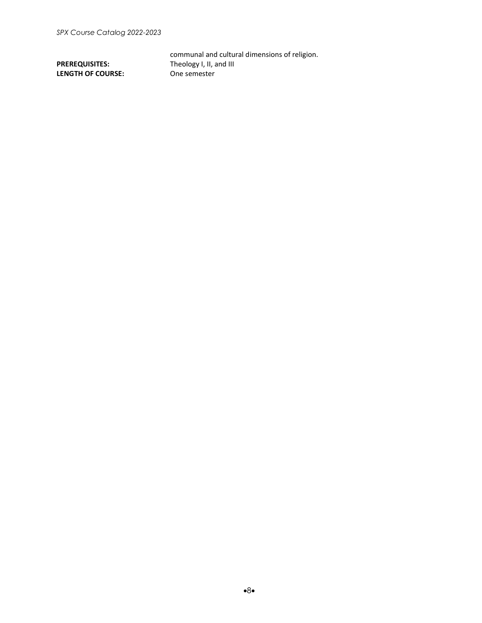**LENGTH OF COURSE:** 

communal and cultural dimensions of religion. **PREREQUISITES:** Theology I, II, and III<br> **LENGTH OF COURSE:** One semester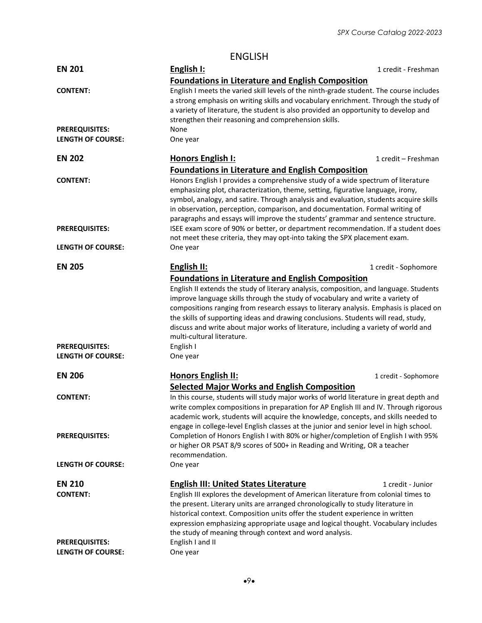### ENGLISH

| <b>EN 201</b>            | English I:                                                                                                                                                                                                                                                                                                                                                                                                                       | 1 credit - Freshman  |  |
|--------------------------|----------------------------------------------------------------------------------------------------------------------------------------------------------------------------------------------------------------------------------------------------------------------------------------------------------------------------------------------------------------------------------------------------------------------------------|----------------------|--|
|                          | <b>Foundations in Literature and English Composition</b>                                                                                                                                                                                                                                                                                                                                                                         |                      |  |
| <b>CONTENT:</b>          | English I meets the varied skill levels of the ninth-grade student. The course includes<br>a strong emphasis on writing skills and vocabulary enrichment. Through the study of<br>a variety of literature, the student is also provided an opportunity to develop and<br>strengthen their reasoning and comprehension skills.                                                                                                    |                      |  |
| <b>PREREQUISITES:</b>    | None                                                                                                                                                                                                                                                                                                                                                                                                                             |                      |  |
| <b>LENGTH OF COURSE:</b> | One year                                                                                                                                                                                                                                                                                                                                                                                                                         |                      |  |
| <b>EN 202</b>            | <b>Honors English I:</b>                                                                                                                                                                                                                                                                                                                                                                                                         | 1 credit - Freshman  |  |
|                          | <b>Foundations in Literature and English Composition</b>                                                                                                                                                                                                                                                                                                                                                                         |                      |  |
| <b>CONTENT:</b>          | Honors English I provides a comprehensive study of a wide spectrum of literature<br>emphasizing plot, characterization, theme, setting, figurative language, irony,<br>symbol, analogy, and satire. Through analysis and evaluation, students acquire skills<br>in observation, perception, comparison, and documentation. Formal writing of<br>paragraphs and essays will improve the students' grammar and sentence structure. |                      |  |
| <b>PREREQUISITES:</b>    | ISEE exam score of 90% or better, or department recommendation. If a student does<br>not meet these criteria, they may opt-into taking the SPX placement exam.                                                                                                                                                                                                                                                                   |                      |  |
| <b>LENGTH OF COURSE:</b> | One year                                                                                                                                                                                                                                                                                                                                                                                                                         |                      |  |
| <b>EN 205</b>            | English II:                                                                                                                                                                                                                                                                                                                                                                                                                      | 1 credit - Sophomore |  |
|                          | <b>Foundations in Literature and English Composition</b>                                                                                                                                                                                                                                                                                                                                                                         |                      |  |
|                          | English II extends the study of literary analysis, composition, and language. Students                                                                                                                                                                                                                                                                                                                                           |                      |  |
|                          | improve language skills through the study of vocabulary and write a variety of<br>compositions ranging from research essays to literary analysis. Emphasis is placed on<br>the skills of supporting ideas and drawing conclusions. Students will read, study,                                                                                                                                                                    |                      |  |
|                          |                                                                                                                                                                                                                                                                                                                                                                                                                                  |                      |  |
|                          |                                                                                                                                                                                                                                                                                                                                                                                                                                  |                      |  |
|                          | discuss and write about major works of literature, including a variety of world and                                                                                                                                                                                                                                                                                                                                              |                      |  |
|                          | multi-cultural literature.                                                                                                                                                                                                                                                                                                                                                                                                       |                      |  |
| <b>PREREQUISITES:</b>    | English I                                                                                                                                                                                                                                                                                                                                                                                                                        |                      |  |
| <b>LENGTH OF COURSE:</b> | One year                                                                                                                                                                                                                                                                                                                                                                                                                         |                      |  |
| <b>EN 206</b>            | <b>Honors English II:</b>                                                                                                                                                                                                                                                                                                                                                                                                        | 1 credit - Sophomore |  |
|                          | <b>Selected Major Works and English Composition</b>                                                                                                                                                                                                                                                                                                                                                                              |                      |  |
| <b>CONTENT:</b>          | In this course, students will study major works of world literature in great depth and<br>write complex compositions in preparation for AP English III and IV. Through rigorous<br>academic work, students will acquire the knowledge, concepts, and skills needed to<br>engage in college-level English classes at the junior and senior level in high school.                                                                  |                      |  |
| <b>PREREQUISITES:</b>    | Completion of Honors English I with 80% or higher/completion of English I with 95%<br>or higher OR PSAT 8/9 scores of 500+ in Reading and Writing, OR a teacher<br>recommendation.                                                                                                                                                                                                                                               |                      |  |
| <b>LENGTH OF COURSE:</b> | One year                                                                                                                                                                                                                                                                                                                                                                                                                         |                      |  |
| <b>EN 210</b>            | <b>English III: United States Literature</b>                                                                                                                                                                                                                                                                                                                                                                                     | 1 credit - Junior    |  |
| <b>CONTENT:</b>          | English III explores the development of American literature from colonial times to                                                                                                                                                                                                                                                                                                                                               |                      |  |
|                          | the present. Literary units are arranged chronologically to study literature in                                                                                                                                                                                                                                                                                                                                                  |                      |  |
|                          | historical context. Composition units offer the student experience in written                                                                                                                                                                                                                                                                                                                                                    |                      |  |
|                          | expression emphasizing appropriate usage and logical thought. Vocabulary includes                                                                                                                                                                                                                                                                                                                                                |                      |  |
|                          | the study of meaning through context and word analysis.                                                                                                                                                                                                                                                                                                                                                                          |                      |  |
| <b>PREREQUISITES:</b>    | English I and II                                                                                                                                                                                                                                                                                                                                                                                                                 |                      |  |
| <b>LENGTH OF COURSE:</b> | One year                                                                                                                                                                                                                                                                                                                                                                                                                         |                      |  |
|                          |                                                                                                                                                                                                                                                                                                                                                                                                                                  |                      |  |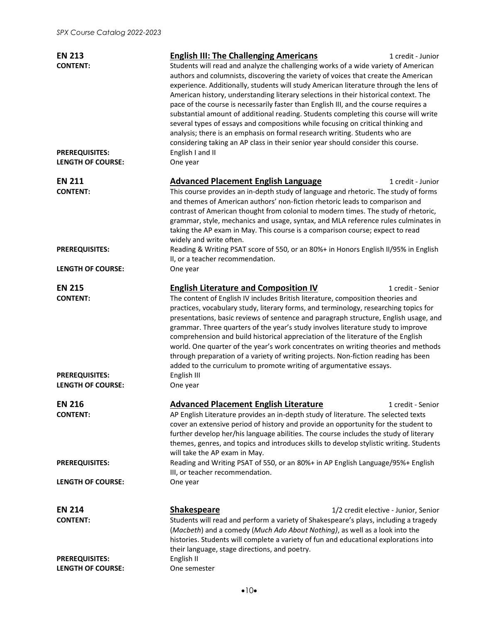| <b>EN 213</b><br><b>CONTENT:</b>                                                      | <b>English III: The Challenging Americans</b><br>1 credit - Junior<br>Students will read and analyze the challenging works of a wide variety of American<br>authors and columnists, discovering the variety of voices that create the American<br>experience. Additionally, students will study American literature through the lens of<br>American history, understanding literary selections in their historical context. The<br>pace of the course is necessarily faster than English III, and the course requires a<br>substantial amount of additional reading. Students completing this course will write<br>several types of essays and compositions while focusing on critical thinking and<br>analysis; there is an emphasis on formal research writing. Students who are<br>considering taking an AP class in their senior year should consider this course. |
|---------------------------------------------------------------------------------------|------------------------------------------------------------------------------------------------------------------------------------------------------------------------------------------------------------------------------------------------------------------------------------------------------------------------------------------------------------------------------------------------------------------------------------------------------------------------------------------------------------------------------------------------------------------------------------------------------------------------------------------------------------------------------------------------------------------------------------------------------------------------------------------------------------------------------------------------------------------------|
| <b>PREREQUISITES:</b><br><b>LENGTH OF COURSE:</b>                                     | English I and II<br>One year                                                                                                                                                                                                                                                                                                                                                                                                                                                                                                                                                                                                                                                                                                                                                                                                                                           |
| <b>EN 211</b><br><b>CONTENT:</b>                                                      | <b>Advanced Placement English Language</b><br>1 credit - Junior<br>This course provides an in-depth study of language and rhetoric. The study of forms<br>and themes of American authors' non-fiction rhetoric leads to comparison and<br>contrast of American thought from colonial to modern times. The study of rhetoric,<br>grammar, style, mechanics and usage, syntax, and MLA reference rules culminates in<br>taking the AP exam in May. This course is a comparison course; expect to read<br>widely and write often.                                                                                                                                                                                                                                                                                                                                         |
| <b>PREREQUISITES:</b><br><b>LENGTH OF COURSE:</b>                                     | Reading & Writing PSAT score of 550, or an 80%+ in Honors English II/95% in English<br>II, or a teacher recommendation.<br>One year                                                                                                                                                                                                                                                                                                                                                                                                                                                                                                                                                                                                                                                                                                                                    |
| <b>EN 215</b><br><b>CONTENT:</b><br><b>PREREQUISITES:</b><br><b>LENGTH OF COURSE:</b> | <b>English Literature and Composition IV</b><br>1 credit - Senior<br>The content of English IV includes British literature, composition theories and<br>practices, vocabulary study, literary forms, and terminology, researching topics for<br>presentations, basic reviews of sentence and paragraph structure, English usage, and<br>grammar. Three quarters of the year's study involves literature study to improve<br>comprehension and build historical appreciation of the literature of the English<br>world. One quarter of the year's work concentrates on writing theories and methods<br>through preparation of a variety of writing projects. Non-fiction reading has been<br>added to the curriculum to promote writing of argumentative essays.<br>English III<br>One year                                                                             |
| <b>EN 216</b><br><b>CONTENT:</b>                                                      | <b>Advanced Placement English Literature</b><br>1 credit - Senior<br>AP English Literature provides an in-depth study of literature. The selected texts<br>cover an extensive period of history and provide an opportunity for the student to<br>further develop her/his language abilities. The course includes the study of literary<br>themes, genres, and topics and introduces skills to develop stylistic writing. Students<br>will take the AP exam in May.                                                                                                                                                                                                                                                                                                                                                                                                     |
| <b>PREREQUISITES:</b>                                                                 | Reading and Writing PSAT of 550, or an 80%+ in AP English Language/95%+ English<br>III, or teacher recommendation.                                                                                                                                                                                                                                                                                                                                                                                                                                                                                                                                                                                                                                                                                                                                                     |
| <b>LENGTH OF COURSE:</b>                                                              | One year                                                                                                                                                                                                                                                                                                                                                                                                                                                                                                                                                                                                                                                                                                                                                                                                                                                               |
| <b>EN 214</b><br><b>CONTENT:</b>                                                      | <b>Shakespeare</b><br>1/2 credit elective - Junior, Senior<br>Students will read and perform a variety of Shakespeare's plays, including a tragedy<br>(Macbeth) and a comedy (Much Ado About Nothing), as well as a look into the<br>histories. Students will complete a variety of fun and educational explorations into<br>their language, stage directions, and poetry.                                                                                                                                                                                                                                                                                                                                                                                                                                                                                             |
| <b>PREREQUISITES:</b><br><b>LENGTH OF COURSE:</b>                                     | English II<br>One semester                                                                                                                                                                                                                                                                                                                                                                                                                                                                                                                                                                                                                                                                                                                                                                                                                                             |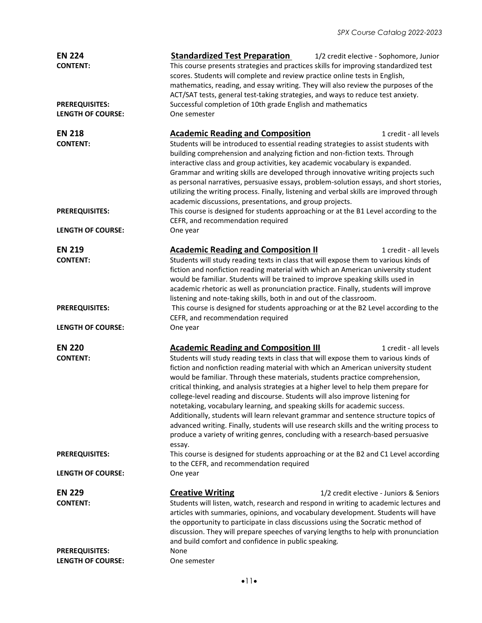| <b>EN 224</b><br><b>CONTENT:</b><br><b>PREREQUISITES:</b> | <b>Standardized Test Preparation</b><br>1/2 credit elective - Sophomore, Junior<br>This course presents strategies and practices skills for improving standardized test<br>scores. Students will complete and review practice online tests in English,<br>mathematics, reading, and essay writing. They will also review the purposes of the<br>ACT/SAT tests, general test-taking strategies, and ways to reduce test anxiety.<br>Successful completion of 10th grade English and mathematics                                                                                                                                                                                                                                                                                                                                                                            |  |  |
|-----------------------------------------------------------|---------------------------------------------------------------------------------------------------------------------------------------------------------------------------------------------------------------------------------------------------------------------------------------------------------------------------------------------------------------------------------------------------------------------------------------------------------------------------------------------------------------------------------------------------------------------------------------------------------------------------------------------------------------------------------------------------------------------------------------------------------------------------------------------------------------------------------------------------------------------------|--|--|
| <b>LENGTH OF COURSE:</b>                                  | One semester                                                                                                                                                                                                                                                                                                                                                                                                                                                                                                                                                                                                                                                                                                                                                                                                                                                              |  |  |
| <b>EN 218</b><br><b>CONTENT:</b><br><b>PREREQUISITES:</b> | <b>Academic Reading and Composition</b><br>1 credit - all levels<br>Students will be introduced to essential reading strategies to assist students with<br>building comprehension and analyzing fiction and non-fiction texts. Through<br>interactive class and group activities, key academic vocabulary is expanded.<br>Grammar and writing skills are developed through innovative writing projects such<br>as personal narratives, persuasive essays, problem-solution essays, and short stories,<br>utilizing the writing process. Finally, listening and verbal skills are improved through<br>academic discussions, presentations, and group projects.<br>This course is designed for students approaching or at the B1 Level according to the                                                                                                                     |  |  |
| <b>LENGTH OF COURSE:</b>                                  | CEFR, and recommendation required<br>One year                                                                                                                                                                                                                                                                                                                                                                                                                                                                                                                                                                                                                                                                                                                                                                                                                             |  |  |
|                                                           |                                                                                                                                                                                                                                                                                                                                                                                                                                                                                                                                                                                                                                                                                                                                                                                                                                                                           |  |  |
| <b>EN 219</b><br><b>CONTENT:</b>                          | <b>Academic Reading and Composition II</b><br>1 credit - all levels<br>Students will study reading texts in class that will expose them to various kinds of<br>fiction and nonfiction reading material with which an American university student<br>would be familiar. Students will be trained to improve speaking skills used in<br>academic rhetoric as well as pronunciation practice. Finally, students will improve<br>listening and note-taking skills, both in and out of the classroom.                                                                                                                                                                                                                                                                                                                                                                          |  |  |
| <b>PREREQUISITES:</b>                                     | This course is designed for students approaching or at the B2 Level according to the<br>CEFR, and recommendation required                                                                                                                                                                                                                                                                                                                                                                                                                                                                                                                                                                                                                                                                                                                                                 |  |  |
| <b>LENGTH OF COURSE:</b>                                  | One year                                                                                                                                                                                                                                                                                                                                                                                                                                                                                                                                                                                                                                                                                                                                                                                                                                                                  |  |  |
| <b>EN 220</b><br><b>CONTENT:</b>                          | <b>Academic Reading and Composition III</b><br>1 credit - all levels<br>Students will study reading texts in class that will expose them to various kinds of<br>fiction and nonfiction reading material with which an American university student<br>would be familiar. Through these materials, students practice comprehension,<br>critical thinking, and analysis strategies at a higher level to help them prepare for<br>college-level reading and discourse. Students will also improve listening for<br>notetaking, vocabulary learning, and speaking skills for academic success.<br>Additionally, students will learn relevant grammar and sentence structure topics of<br>advanced writing. Finally, students will use research skills and the writing process to<br>produce a variety of writing genres, concluding with a research-based persuasive<br>essay. |  |  |
| <b>PREREQUISITES:</b>                                     | This course is designed for students approaching or at the B2 and C1 Level according<br>to the CEFR, and recommendation required                                                                                                                                                                                                                                                                                                                                                                                                                                                                                                                                                                                                                                                                                                                                          |  |  |
| <b>LENGTH OF COURSE:</b>                                  | One year                                                                                                                                                                                                                                                                                                                                                                                                                                                                                                                                                                                                                                                                                                                                                                                                                                                                  |  |  |
| <b>EN 229</b><br><b>CONTENT:</b>                          | <b>Creative Writing</b><br>1/2 credit elective - Juniors & Seniors<br>Students will listen, watch, research and respond in writing to academic lectures and<br>articles with summaries, opinions, and vocabulary development. Students will have<br>the opportunity to participate in class discussions using the Socratic method of<br>discussion. They will prepare speeches of varying lengths to help with pronunciation<br>and build comfort and confidence in public speaking.                                                                                                                                                                                                                                                                                                                                                                                      |  |  |
| <b>PREREQUISITES:</b><br><b>LENGTH OF COURSE:</b>         | None<br>One semester                                                                                                                                                                                                                                                                                                                                                                                                                                                                                                                                                                                                                                                                                                                                                                                                                                                      |  |  |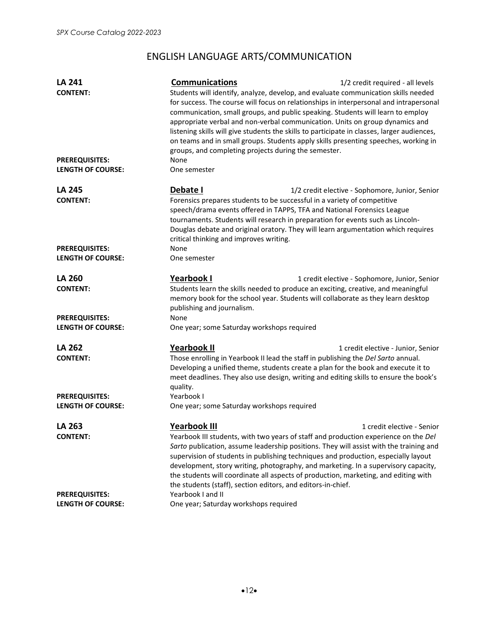# ENGLISH LANGUAGE ARTS/COMMUNICATION

| <b>LA 241</b><br><b>CONTENT:</b>                  | <b>Communications</b><br>groups, and completing projects during the semester.                                                   | 1/2 credit required - all levels<br>Students will identify, analyze, develop, and evaluate communication skills needed<br>for success. The course will focus on relationships in interpersonal and intrapersonal<br>communication, small groups, and public speaking. Students will learn to employ<br>appropriate verbal and non-verbal communication. Units on group dynamics and<br>listening skills will give students the skills to participate in classes, larger audiences,<br>on teams and in small groups. Students apply skills presenting speeches, working in |
|---------------------------------------------------|---------------------------------------------------------------------------------------------------------------------------------|---------------------------------------------------------------------------------------------------------------------------------------------------------------------------------------------------------------------------------------------------------------------------------------------------------------------------------------------------------------------------------------------------------------------------------------------------------------------------------------------------------------------------------------------------------------------------|
| <b>PREREQUISITES:</b><br><b>LENGTH OF COURSE:</b> | None<br>One semester                                                                                                            |                                                                                                                                                                                                                                                                                                                                                                                                                                                                                                                                                                           |
| LA 245<br><b>CONTENT:</b>                         | Debate I<br>Forensics prepares students to be successful in a variety of competitive<br>critical thinking and improves writing. | 1/2 credit elective - Sophomore, Junior, Senior<br>speech/drama events offered in TAPPS, TFA and National Forensics League<br>tournaments. Students will research in preparation for events such as Lincoln-<br>Douglas debate and original oratory. They will learn argumentation which requires                                                                                                                                                                                                                                                                         |
| <b>PREREQUISITES:</b><br><b>LENGTH OF COURSE:</b> | None<br>One semester                                                                                                            |                                                                                                                                                                                                                                                                                                                                                                                                                                                                                                                                                                           |
| <b>LA 260</b><br><b>CONTENT:</b>                  | <b>Yearbook I</b><br>publishing and journalism.                                                                                 | 1 credit elective - Sophomore, Junior, Senior<br>Students learn the skills needed to produce an exciting, creative, and meaningful<br>memory book for the school year. Students will collaborate as they learn desktop                                                                                                                                                                                                                                                                                                                                                    |
| <b>PREREQUISITES:</b><br><b>LENGTH OF COURSE:</b> | None<br>One year; some Saturday workshops required                                                                              |                                                                                                                                                                                                                                                                                                                                                                                                                                                                                                                                                                           |
| LA 262<br><b>CONTENT:</b>                         | <b>Yearbook II</b><br>quality.                                                                                                  | 1 credit elective - Junior, Senior<br>Those enrolling in Yearbook II lead the staff in publishing the Del Sarto annual.<br>Developing a unified theme, students create a plan for the book and execute it to<br>meet deadlines. They also use design, writing and editing skills to ensure the book's                                                                                                                                                                                                                                                                     |
| <b>PREREQUISITES:</b><br><b>LENGTH OF COURSE:</b> | Yearbook I<br>One year; some Saturday workshops required                                                                        |                                                                                                                                                                                                                                                                                                                                                                                                                                                                                                                                                                           |
| LA 263<br><b>CONTENT:</b>                         | <u>Yearbook III</u><br>the students (staff), section editors, and editors-in-chief.                                             | 1 credit elective - Senior<br>Yearbook III students, with two years of staff and production experience on the Del<br>Sarto publication, assume leadership positions. They will assist with the training and<br>supervision of students in publishing techniques and production, especially layout<br>development, story writing, photography, and marketing. In a supervisory capacity,<br>the students will coordinate all aspects of production, marketing, and editing with                                                                                            |
| <b>PREREQUISITES:</b><br><b>LENGTH OF COURSE:</b> | Yearbook I and II<br>One year; Saturday workshops required                                                                      |                                                                                                                                                                                                                                                                                                                                                                                                                                                                                                                                                                           |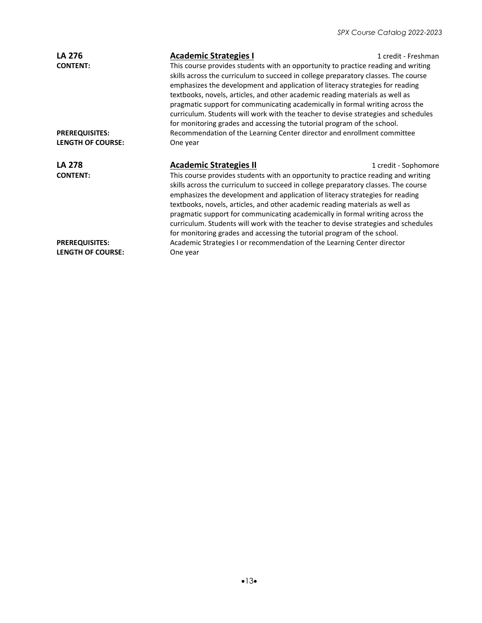| <b>LA 276</b><br><b>CONTENT:</b>                  | <b>Academic Strategies I</b><br>This course provides students with an opportunity to practice reading and writing<br>skills across the curriculum to succeed in college preparatory classes. The course<br>emphasizes the development and application of literacy strategies for reading<br>textbooks, novels, articles, and other academic reading materials as well as<br>pragmatic support for communicating academically in formal writing across the<br>curriculum. Students will work with the teacher to devise strategies and schedules<br>for monitoring grades and accessing the tutorial program of the school. | 1 credit - Freshman  |
|---------------------------------------------------|----------------------------------------------------------------------------------------------------------------------------------------------------------------------------------------------------------------------------------------------------------------------------------------------------------------------------------------------------------------------------------------------------------------------------------------------------------------------------------------------------------------------------------------------------------------------------------------------------------------------------|----------------------|
| <b>PREREQUISITES:</b>                             | Recommendation of the Learning Center director and enrollment committee                                                                                                                                                                                                                                                                                                                                                                                                                                                                                                                                                    |                      |
| <b>LENGTH OF COURSE:</b>                          | One year                                                                                                                                                                                                                                                                                                                                                                                                                                                                                                                                                                                                                   |                      |
|                                                   |                                                                                                                                                                                                                                                                                                                                                                                                                                                                                                                                                                                                                            |                      |
| <b>LA 278</b>                                     | <b>Academic Strategies II</b>                                                                                                                                                                                                                                                                                                                                                                                                                                                                                                                                                                                              | 1 credit - Sophomore |
| <b>CONTENT:</b>                                   | This course provides students with an opportunity to practice reading and writing<br>skills across the curriculum to succeed in college preparatory classes. The course<br>emphasizes the development and application of literacy strategies for reading<br>textbooks, novels, articles, and other academic reading materials as well as<br>pragmatic support for communicating academically in formal writing across the<br>curriculum. Students will work with the teacher to devise strategies and schedules<br>for monitoring grades and accessing the tutorial program of the school.                                 |                      |
| <b>PREREQUISITES:</b><br><b>LENGTH OF COURSE:</b> | Academic Strategies I or recommendation of the Learning Center director<br>One year                                                                                                                                                                                                                                                                                                                                                                                                                                                                                                                                        |                      |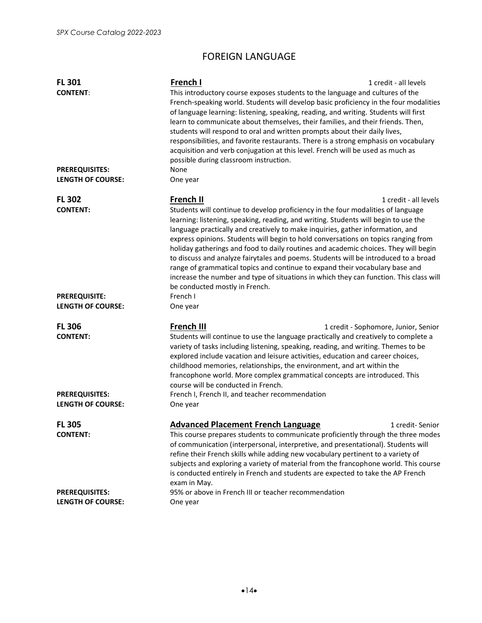# FOREIGN LANGUAGE

| <b>FL 301</b><br><b>CONTENT:</b><br><b>PREREQUISITES:</b> | French I<br>This introductory course exposes students to the language and cultures of the<br>French-speaking world. Students will develop basic proficiency in the four modalities<br>of language learning: listening, speaking, reading, and writing. Students will first<br>learn to communicate about themselves, their families, and their friends. Then,<br>students will respond to oral and written prompts about their daily lives,<br>responsibilities, and favorite restaurants. There is a strong emphasis on vocabulary<br>acquisition and verb conjugation at this level. French will be used as much as<br>possible during classroom instruction.<br>None                                                                                | 1 credit - all levels                |
|-----------------------------------------------------------|--------------------------------------------------------------------------------------------------------------------------------------------------------------------------------------------------------------------------------------------------------------------------------------------------------------------------------------------------------------------------------------------------------------------------------------------------------------------------------------------------------------------------------------------------------------------------------------------------------------------------------------------------------------------------------------------------------------------------------------------------------|--------------------------------------|
| <b>LENGTH OF COURSE:</b>                                  | One year                                                                                                                                                                                                                                                                                                                                                                                                                                                                                                                                                                                                                                                                                                                                               |                                      |
| <b>FL 302</b><br><b>CONTENT:</b>                          | French II<br>Students will continue to develop proficiency in the four modalities of language<br>learning: listening, speaking, reading, and writing. Students will begin to use the<br>language practically and creatively to make inquiries, gather information, and<br>express opinions. Students will begin to hold conversations on topics ranging from<br>holiday gatherings and food to daily routines and academic choices. They will begin<br>to discuss and analyze fairytales and poems. Students will be introduced to a broad<br>range of grammatical topics and continue to expand their vocabulary base and<br>increase the number and type of situations in which they can function. This class will<br>be conducted mostly in French. | 1 credit - all levels                |
| <b>PREREQUISITE:</b><br><b>LENGTH OF COURSE:</b>          | French I<br>One year                                                                                                                                                                                                                                                                                                                                                                                                                                                                                                                                                                                                                                                                                                                                   |                                      |
| <b>FL 306</b><br><b>CONTENT:</b>                          | French III<br>Students will continue to use the language practically and creatively to complete a<br>variety of tasks including listening, speaking, reading, and writing. Themes to be<br>explored include vacation and leisure activities, education and career choices,<br>childhood memories, relationships, the environment, and art within the<br>francophone world. More complex grammatical concepts are introduced. This<br>course will be conducted in French.                                                                                                                                                                                                                                                                               | 1 credit - Sophomore, Junior, Senior |
| <b>PREREQUISITES:</b><br><b>LENGTH OF COURSE:</b>         | French I, French II, and teacher recommendation<br>One year                                                                                                                                                                                                                                                                                                                                                                                                                                                                                                                                                                                                                                                                                            |                                      |
| <b>FL 305</b><br><b>CONTENT:</b>                          | <b>Advanced Placement French Language</b><br>This course prepares students to communicate proficiently through the three modes<br>of communication (interpersonal, interpretive, and presentational). Students will<br>refine their French skills while adding new vocabulary pertinent to a variety of<br>subjects and exploring a variety of material from the francophone world. This course<br>is conducted entirely in French and students are expected to take the AP French<br>exam in May.                                                                                                                                                                                                                                                     | 1 credit-Senior                      |
| <b>PREREQUISITES:</b><br><b>LENGTH OF COURSE:</b>         | 95% or above in French III or teacher recommendation<br>One year                                                                                                                                                                                                                                                                                                                                                                                                                                                                                                                                                                                                                                                                                       |                                      |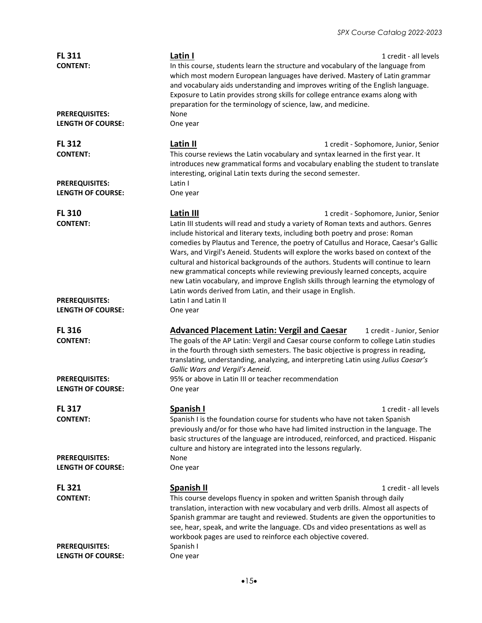#### *SPX Course Catalog 2022-2023*

| <b>FL 311</b><br><b>CONTENT:</b><br><b>PREREQUISITES:</b><br><b>LENGTH OF COURSE:</b> | Latin I<br>In this course, students learn the structure and vocabulary of the language from<br>which most modern European languages have derived. Mastery of Latin grammar<br>and vocabulary aids understanding and improves writing of the English language.<br>Exposure to Latin provides strong skills for college entrance exams along with<br>preparation for the terminology of science, law, and medicine.<br>None<br>One year                                                                                                                                                                                                                                                       | 1 credit - all levels                |
|---------------------------------------------------------------------------------------|---------------------------------------------------------------------------------------------------------------------------------------------------------------------------------------------------------------------------------------------------------------------------------------------------------------------------------------------------------------------------------------------------------------------------------------------------------------------------------------------------------------------------------------------------------------------------------------------------------------------------------------------------------------------------------------------|--------------------------------------|
|                                                                                       |                                                                                                                                                                                                                                                                                                                                                                                                                                                                                                                                                                                                                                                                                             |                                      |
| <b>FL 312</b><br><b>CONTENT:</b>                                                      | Latin II<br>This course reviews the Latin vocabulary and syntax learned in the first year. It<br>introduces new grammatical forms and vocabulary enabling the student to translate<br>interesting, original Latin texts during the second semester.                                                                                                                                                                                                                                                                                                                                                                                                                                         | 1 credit - Sophomore, Junior, Senior |
| <b>PREREQUISITES:</b><br><b>LENGTH OF COURSE:</b>                                     | Latin I<br>One year                                                                                                                                                                                                                                                                                                                                                                                                                                                                                                                                                                                                                                                                         |                                      |
| <b>FL 310</b><br><b>CONTENT:</b>                                                      | Latin III<br>Latin III students will read and study a variety of Roman texts and authors. Genres<br>include historical and literary texts, including both poetry and prose: Roman<br>comedies by Plautus and Terence, the poetry of Catullus and Horace, Caesar's Gallic<br>Wars, and Virgil's Aeneid. Students will explore the works based on context of the<br>cultural and historical backgrounds of the authors. Students will continue to learn<br>new grammatical concepts while reviewing previously learned concepts, acquire<br>new Latin vocabulary, and improve English skills through learning the etymology of<br>Latin words derived from Latin, and their usage in English. | 1 credit - Sophomore, Junior, Senior |
| <b>PREREQUISITES:</b><br>LENGTH OF COURSE:                                            | Latin I and Latin II<br>One year                                                                                                                                                                                                                                                                                                                                                                                                                                                                                                                                                                                                                                                            |                                      |
| <b>FL 316</b><br><b>CONTENT:</b>                                                      | <b>Advanced Placement Latin: Vergil and Caesar</b><br>The goals of the AP Latin: Vergil and Caesar course conform to college Latin studies<br>in the fourth through sixth semesters. The basic objective is progress in reading,<br>translating, understanding, analyzing, and interpreting Latin using Julius Caesar's<br>Gallic Wars and Vergil's Aeneid.                                                                                                                                                                                                                                                                                                                                 | 1 credit - Junior, Senior            |
| <b>PREREQUISITES:</b><br><b>LENGTH OF COURSE:</b>                                     | 95% or above in Latin III or teacher recommendation<br>One year                                                                                                                                                                                                                                                                                                                                                                                                                                                                                                                                                                                                                             |                                      |
| <b>FL 317</b><br><b>CONTENT:</b>                                                      | Spanish I<br>Spanish I is the foundation course for students who have not taken Spanish<br>previously and/or for those who have had limited instruction in the language. The<br>basic structures of the language are introduced, reinforced, and practiced. Hispanic<br>culture and history are integrated into the lessons regularly.                                                                                                                                                                                                                                                                                                                                                      | 1 credit - all levels                |
| <b>PREREQUISITES:</b><br><b>LENGTH OF COURSE:</b>                                     | None<br>One year                                                                                                                                                                                                                                                                                                                                                                                                                                                                                                                                                                                                                                                                            |                                      |
| <b>FL 321</b><br><b>CONTENT:</b>                                                      | <b>Spanish II</b><br>This course develops fluency in spoken and written Spanish through daily<br>translation, interaction with new vocabulary and verb drills. Almost all aspects of<br>Spanish grammar are taught and reviewed. Students are given the opportunities to<br>see, hear, speak, and write the language. CDs and video presentations as well as<br>workbook pages are used to reinforce each objective covered.                                                                                                                                                                                                                                                                | 1 credit - all levels                |
| <b>PREREQUISITES:</b><br><b>LENGTH OF COURSE:</b>                                     | Spanish I<br>One year                                                                                                                                                                                                                                                                                                                                                                                                                                                                                                                                                                                                                                                                       |                                      |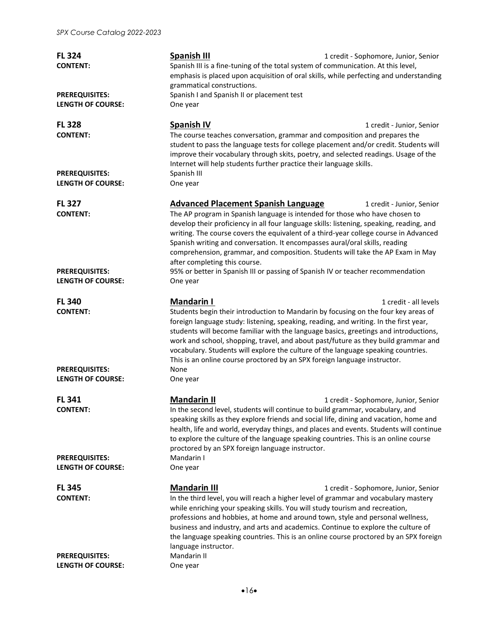| <b>FL 324</b><br><b>CONTENT:</b>                  | <b>Spanish III</b><br>Spanish III is a fine-tuning of the total system of communication. At this level,<br>emphasis is placed upon acquisition of oral skills, while perfecting and understanding<br>grammatical constructions.                                                                                                                                                                                                                                                                                                                  | 1 credit - Sophomore, Junior, Senior |
|---------------------------------------------------|--------------------------------------------------------------------------------------------------------------------------------------------------------------------------------------------------------------------------------------------------------------------------------------------------------------------------------------------------------------------------------------------------------------------------------------------------------------------------------------------------------------------------------------------------|--------------------------------------|
| <b>PREREQUISITES:</b><br><b>LENGTH OF COURSE:</b> | Spanish I and Spanish II or placement test<br>One year                                                                                                                                                                                                                                                                                                                                                                                                                                                                                           |                                      |
| <b>FL 328</b><br><b>CONTENT:</b>                  | <b>Spanish IV</b><br>The course teaches conversation, grammar and composition and prepares the<br>student to pass the language tests for college placement and/or credit. Students will<br>improve their vocabulary through skits, poetry, and selected readings. Usage of the<br>Internet will help students further practice their language skills.                                                                                                                                                                                            | 1 credit - Junior, Senior            |
| <b>PREREQUISITES:</b><br><b>LENGTH OF COURSE:</b> | Spanish III<br>One year                                                                                                                                                                                                                                                                                                                                                                                                                                                                                                                          |                                      |
| <b>FL 327</b><br><b>CONTENT:</b>                  | <b>Advanced Placement Spanish Language</b><br>The AP program in Spanish language is intended for those who have chosen to<br>develop their proficiency in all four language skills: listening, speaking, reading, and<br>writing. The course covers the equivalent of a third-year college course in Advanced<br>Spanish writing and conversation. It encompasses aural/oral skills, reading<br>comprehension, grammar, and composition. Students will take the AP Exam in May<br>after completing this course.                                  | 1 credit - Junior, Senior            |
| <b>PREREQUISITES:</b><br><b>LENGTH OF COURSE:</b> | 95% or better in Spanish III or passing of Spanish IV or teacher recommendation<br>One year                                                                                                                                                                                                                                                                                                                                                                                                                                                      |                                      |
| <b>FL 340</b><br><b>CONTENT:</b>                  | <b>Mandarin I</b><br>Students begin their introduction to Mandarin by focusing on the four key areas of<br>foreign language study: listening, speaking, reading, and writing. In the first year,<br>students will become familiar with the language basics, greetings and introductions,<br>work and school, shopping, travel, and about past/future as they build grammar and<br>vocabulary. Students will explore the culture of the language speaking countries.<br>This is an online course proctored by an SPX foreign language instructor. | 1 credit - all levels                |
| <b>PREREQUISITES:</b><br><b>LENGTH OF COURSE:</b> | None<br>One year                                                                                                                                                                                                                                                                                                                                                                                                                                                                                                                                 |                                      |
| <b>FL 341</b><br><b>CONTENT:</b>                  | <b>Mandarin II</b><br>In the second level, students will continue to build grammar, vocabulary, and<br>speaking skills as they explore friends and social life, dining and vacation, home and<br>health, life and world, everyday things, and places and events. Students will continue<br>to explore the culture of the language speaking countries. This is an online course<br>proctored by an SPX foreign language instructor.                                                                                                               | 1 credit - Sophomore, Junior, Senior |
| <b>PREREQUISITES:</b><br><b>LENGTH OF COURSE:</b> | Mandarin I<br>One year                                                                                                                                                                                                                                                                                                                                                                                                                                                                                                                           |                                      |
| <b>FL 345</b>                                     | <b>Mandarin III</b>                                                                                                                                                                                                                                                                                                                                                                                                                                                                                                                              | 1 credit - Sophomore, Junior, Senior |
| <b>CONTENT:</b>                                   | In the third level, you will reach a higher level of grammar and vocabulary mastery<br>while enriching your speaking skills. You will study tourism and recreation,<br>professions and hobbies, at home and around town, style and personal wellness,<br>business and industry, and arts and academics. Continue to explore the culture of<br>the language speaking countries. This is an online course proctored by an SPX foreign<br>language instructor.                                                                                      |                                      |
| <b>PREREQUISITES:</b><br><b>LENGTH OF COURSE:</b> | Mandarin II<br>One year                                                                                                                                                                                                                                                                                                                                                                                                                                                                                                                          |                                      |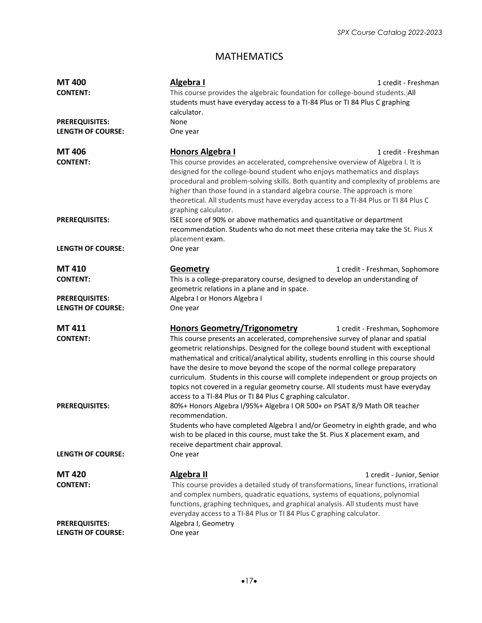# MATHEMATICS

| <b>MT400</b>             | Algebra I<br>1 credit - Freshman                                                                                                                                                                                                                                                                                                                                                                                                                                                                                                                                                     |  |  |
|--------------------------|--------------------------------------------------------------------------------------------------------------------------------------------------------------------------------------------------------------------------------------------------------------------------------------------------------------------------------------------------------------------------------------------------------------------------------------------------------------------------------------------------------------------------------------------------------------------------------------|--|--|
| <b>CONTENT:</b>          | This course provides the algebraic foundation for college-bound students. All                                                                                                                                                                                                                                                                                                                                                                                                                                                                                                        |  |  |
|                          | students must have everyday access to a TI-84 Plus or TI 84 Plus C graphing                                                                                                                                                                                                                                                                                                                                                                                                                                                                                                          |  |  |
|                          | calculator.                                                                                                                                                                                                                                                                                                                                                                                                                                                                                                                                                                          |  |  |
| <b>PREREQUISITES:</b>    | None                                                                                                                                                                                                                                                                                                                                                                                                                                                                                                                                                                                 |  |  |
| <b>LENGTH OF COURSE:</b> | One year                                                                                                                                                                                                                                                                                                                                                                                                                                                                                                                                                                             |  |  |
|                          |                                                                                                                                                                                                                                                                                                                                                                                                                                                                                                                                                                                      |  |  |
| <b>MT 406</b>            | <b>Honors Algebra I</b><br>1 credit - Freshman                                                                                                                                                                                                                                                                                                                                                                                                                                                                                                                                       |  |  |
| <b>CONTENT:</b>          | This course provides an accelerated, comprehensive overview of Algebra I. It is<br>designed for the college-bound student who enjoys mathematics and displays<br>procedural and problem-solving skills. Both quantity and complexity of problems are                                                                                                                                                                                                                                                                                                                                 |  |  |
|                          | higher than those found in a standard algebra course. The approach is more<br>theoretical. All students must have everyday access to a TI-84 Plus or TI 84 Plus C                                                                                                                                                                                                                                                                                                                                                                                                                    |  |  |
|                          | graphing calculator.                                                                                                                                                                                                                                                                                                                                                                                                                                                                                                                                                                 |  |  |
| <b>PREREQUISITES:</b>    | ISEE score of 90% or above mathematics and quantitative or department<br>recommendation. Students who do not meet these criteria may take the St. Pius X<br>placement exam.                                                                                                                                                                                                                                                                                                                                                                                                          |  |  |
| <b>LENGTH OF COURSE:</b> | One year                                                                                                                                                                                                                                                                                                                                                                                                                                                                                                                                                                             |  |  |
| MT 410                   | <b>Geometry</b><br>1 credit - Freshman, Sophomore                                                                                                                                                                                                                                                                                                                                                                                                                                                                                                                                    |  |  |
| <b>CONTENT:</b>          | This is a college-preparatory course, designed to develop an understanding of                                                                                                                                                                                                                                                                                                                                                                                                                                                                                                        |  |  |
|                          | geometric relations in a plane and in space.                                                                                                                                                                                                                                                                                                                                                                                                                                                                                                                                         |  |  |
| <b>PREREQUISITES:</b>    | Algebra I or Honors Algebra I                                                                                                                                                                                                                                                                                                                                                                                                                                                                                                                                                        |  |  |
| <b>LENGTH OF COURSE:</b> | One year                                                                                                                                                                                                                                                                                                                                                                                                                                                                                                                                                                             |  |  |
|                          |                                                                                                                                                                                                                                                                                                                                                                                                                                                                                                                                                                                      |  |  |
| <b>MT 411</b>            | <b>Honors Geometry/Trigonometry</b><br>1 credit - Freshman, Sophomore                                                                                                                                                                                                                                                                                                                                                                                                                                                                                                                |  |  |
| <b>CONTENT:</b>          | This course presents an accelerated, comprehensive survey of planar and spatial<br>geometric relationships. Designed for the college bound student with exceptional<br>mathematical and critical/analytical ability, students enrolling in this course should<br>have the desire to move beyond the scope of the normal college preparatory<br>curriculum. Students in this course will complete independent or group projects on<br>topics not covered in a regular geometry course. All students must have everyday<br>access to a TI-84 Plus or TI 84 Plus C graphing calculator. |  |  |
| <b>PREREQUISITES:</b>    | 80%+ Honors Algebra I/95%+ Algebra I OR 500+ on PSAT 8/9 Math OR teacher<br>recommendation.<br>Students who have completed Algebra I and/or Geometry in eighth grade, and who<br>wish to be placed in this course, must take the St. Pius X placement exam, and<br>receive department chair approval.                                                                                                                                                                                                                                                                                |  |  |
| <b>LENGTH OF COURSE:</b> | One year                                                                                                                                                                                                                                                                                                                                                                                                                                                                                                                                                                             |  |  |
| <b>MT420</b>             | <b>Algebra II</b><br>1 credit - Junior, Senior                                                                                                                                                                                                                                                                                                                                                                                                                                                                                                                                       |  |  |
| <b>CONTENT:</b>          | This course provides a detailed study of transformations, linear functions, irrational<br>and complex numbers, quadratic equations, systems of equations, polynomial<br>functions, graphing techniques, and graphical analysis. All students must have<br>everyday access to a TI-84 Plus or TI 84 Plus C graphing calculator.                                                                                                                                                                                                                                                       |  |  |
| <b>PREREQUISITES:</b>    | Algebra I, Geometry                                                                                                                                                                                                                                                                                                                                                                                                                                                                                                                                                                  |  |  |
| <b>LENGTH OF COURSE:</b> | One year                                                                                                                                                                                                                                                                                                                                                                                                                                                                                                                                                                             |  |  |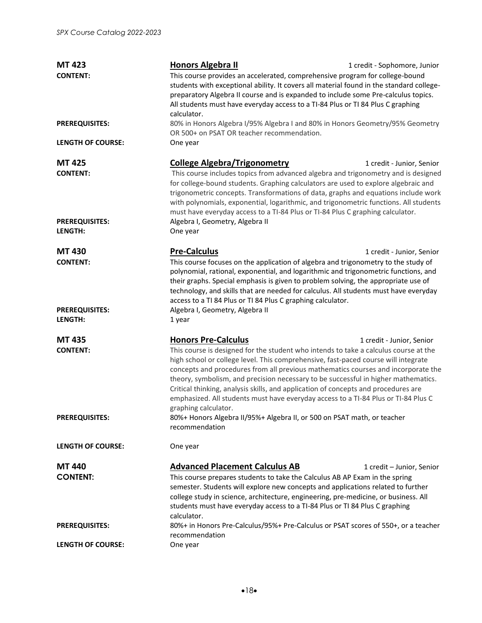| <b>MT 423</b>                    | <b>Honors Algebra II</b><br>1 credit - Sophomore, Junior                                                                                                                                                                                                                                                                                                                                                                                                                                                                                                  |  |  |
|----------------------------------|-----------------------------------------------------------------------------------------------------------------------------------------------------------------------------------------------------------------------------------------------------------------------------------------------------------------------------------------------------------------------------------------------------------------------------------------------------------------------------------------------------------------------------------------------------------|--|--|
| <b>CONTENT:</b>                  | This course provides an accelerated, comprehensive program for college-bound<br>students with exceptional ability. It covers all material found in the standard college-<br>preparatory Algebra II course and is expanded to include some Pre-calculus topics.<br>All students must have everyday access to a TI-84 Plus or TI 84 Plus C graphing<br>calculator.                                                                                                                                                                                          |  |  |
| <b>PREREQUISITES:</b>            | 80% in Honors Algebra I/95% Algebra I and 80% in Honors Geometry/95% Geometry<br>OR 500+ on PSAT OR teacher recommendation.                                                                                                                                                                                                                                                                                                                                                                                                                               |  |  |
| <b>LENGTH OF COURSE:</b>         | One year                                                                                                                                                                                                                                                                                                                                                                                                                                                                                                                                                  |  |  |
| <b>MT 425</b><br><b>CONTENT:</b> | <b>College Algebra/Trigonometry</b><br>1 credit - Junior, Senior<br>This course includes topics from advanced algebra and trigonometry and is designed<br>for college-bound students. Graphing calculators are used to explore algebraic and                                                                                                                                                                                                                                                                                                              |  |  |
|                                  | trigonometric concepts. Transformations of data, graphs and equations include work<br>with polynomials, exponential, logarithmic, and trigonometric functions. All students<br>must have everyday access to a TI-84 Plus or TI-84 Plus C graphing calculator.                                                                                                                                                                                                                                                                                             |  |  |
| <b>PREREQUISITES:</b><br>LENGTH: | Algebra I, Geometry, Algebra II<br>One year                                                                                                                                                                                                                                                                                                                                                                                                                                                                                                               |  |  |
| <b>MT 430</b><br><b>CONTENT:</b> | <b>Pre-Calculus</b><br>1 credit - Junior, Senior<br>This course focuses on the application of algebra and trigonometry to the study of<br>polynomial, rational, exponential, and logarithmic and trigonometric functions, and<br>their graphs. Special emphasis is given to problem solving, the appropriate use of<br>technology, and skills that are needed for calculus. All students must have everyday<br>access to a TI 84 Plus or TI 84 Plus C graphing calculator.                                                                                |  |  |
| <b>PREREQUISITES:</b><br>LENGTH: | Algebra I, Geometry, Algebra II<br>1 year                                                                                                                                                                                                                                                                                                                                                                                                                                                                                                                 |  |  |
| <b>MT 435</b>                    | <b>Honors Pre-Calculus</b><br>1 credit - Junior, Senior                                                                                                                                                                                                                                                                                                                                                                                                                                                                                                   |  |  |
| <b>CONTENT:</b>                  | This course is designed for the student who intends to take a calculus course at the<br>high school or college level. This comprehensive, fast-paced course will integrate<br>concepts and procedures from all previous mathematics courses and incorporate the<br>theory, symbolism, and precision necessary to be successful in higher mathematics.<br>Critical thinking, analysis skills, and application of concepts and procedures are<br>emphasized. All students must have everyday access to a TI-84 Plus or TI-84 Plus C<br>graphing calculator. |  |  |
| <b>PREREQUISITES:</b>            | 80%+ Honors Algebra II/95%+ Algebra II, or 500 on PSAT math, or teacher<br>recommendation                                                                                                                                                                                                                                                                                                                                                                                                                                                                 |  |  |
| <b>LENGTH OF COURSE:</b>         | One year                                                                                                                                                                                                                                                                                                                                                                                                                                                                                                                                                  |  |  |
| <b>MT440</b>                     | <b>Advanced Placement Calculus AB</b><br>1 credit - Junior, Senior                                                                                                                                                                                                                                                                                                                                                                                                                                                                                        |  |  |
| <b>CONTENT:</b>                  | This course prepares students to take the Calculus AB AP Exam in the spring<br>semester. Students will explore new concepts and applications related to further<br>college study in science, architecture, engineering, pre-medicine, or business. All<br>students must have everyday access to a TI-84 Plus or TI 84 Plus C graphing<br>calculator.                                                                                                                                                                                                      |  |  |
| <b>PREREQUISITES:</b>            | 80%+ in Honors Pre-Calculus/95%+ Pre-Calculus or PSAT scores of 550+, or a teacher<br>recommendation                                                                                                                                                                                                                                                                                                                                                                                                                                                      |  |  |
| <b>LENGTH OF COURSE:</b>         | One year                                                                                                                                                                                                                                                                                                                                                                                                                                                                                                                                                  |  |  |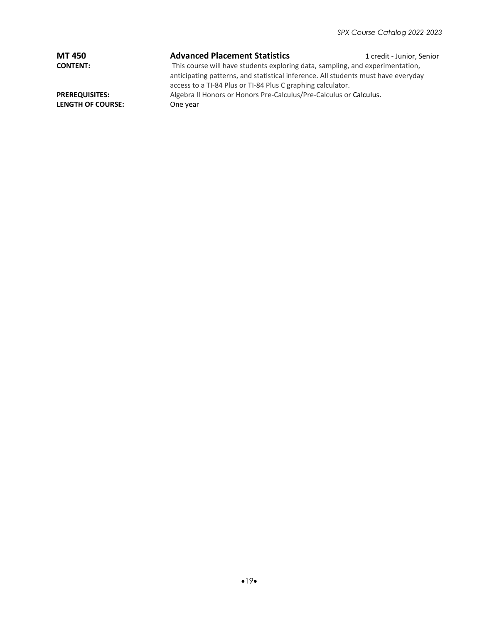| <b>MT 450</b>            | <b>Advanced Placement Statistics</b>                                              | 1 credit - Junior, Senior |
|--------------------------|-----------------------------------------------------------------------------------|---------------------------|
| <b>CONTENT:</b>          | This course will have students exploring data, sampling, and experimentation,     |                           |
|                          | anticipating patterns, and statistical inference. All students must have everyday |                           |
|                          | access to a TI-84 Plus or TI-84 Plus C graphing calculator.                       |                           |
| <b>PREREQUISITES:</b>    | Algebra II Honors or Honors Pre-Calculus/Pre-Calculus or Calculus.                |                           |
| <b>LENGTH OF COURSE:</b> | One year                                                                          |                           |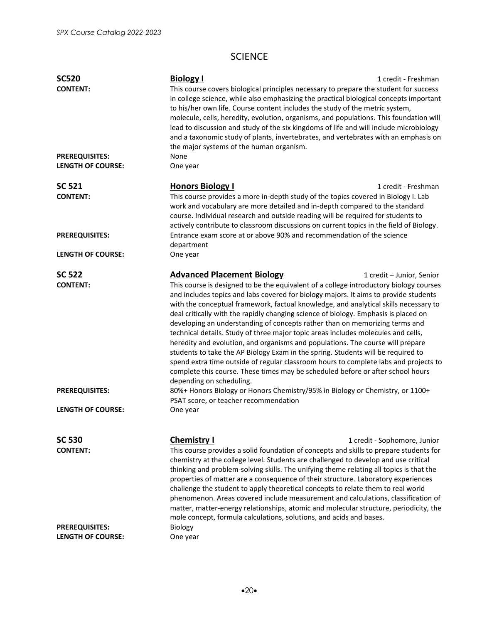# SCIENCE

| <b>SC520</b>                                      | <b>Biology I</b>                                                                                                                                                                                                                                                                                                                                                                                                                                                                                                                                                                                                                                                                                                                                                                                                                                                                                               | 1 credit - Freshman          |
|---------------------------------------------------|----------------------------------------------------------------------------------------------------------------------------------------------------------------------------------------------------------------------------------------------------------------------------------------------------------------------------------------------------------------------------------------------------------------------------------------------------------------------------------------------------------------------------------------------------------------------------------------------------------------------------------------------------------------------------------------------------------------------------------------------------------------------------------------------------------------------------------------------------------------------------------------------------------------|------------------------------|
| <b>CONTENT:</b>                                   | This course covers biological principles necessary to prepare the student for success<br>in college science, while also emphasizing the practical biological concepts important<br>to his/her own life. Course content includes the study of the metric system,<br>molecule, cells, heredity, evolution, organisms, and populations. This foundation will<br>lead to discussion and study of the six kingdoms of life and will include microbiology<br>and a taxonomic study of plants, invertebrates, and vertebrates with an emphasis on<br>the major systems of the human organism.                                                                                                                                                                                                                                                                                                                         |                              |
| <b>PREREQUISITES:</b><br><b>LENGTH OF COURSE:</b> | None<br>One year                                                                                                                                                                                                                                                                                                                                                                                                                                                                                                                                                                                                                                                                                                                                                                                                                                                                                               |                              |
| <b>SC 521</b>                                     | <b>Honors Biology I</b>                                                                                                                                                                                                                                                                                                                                                                                                                                                                                                                                                                                                                                                                                                                                                                                                                                                                                        | 1 credit - Freshman          |
| <b>CONTENT:</b>                                   | This course provides a more in-depth study of the topics covered in Biology I. Lab<br>work and vocabulary are more detailed and in-depth compared to the standard<br>course. Individual research and outside reading will be required for students to<br>actively contribute to classroom discussions on current topics in the field of Biology.                                                                                                                                                                                                                                                                                                                                                                                                                                                                                                                                                               |                              |
| <b>PREREQUISITES:</b>                             | Entrance exam score at or above 90% and recommendation of the science<br>department                                                                                                                                                                                                                                                                                                                                                                                                                                                                                                                                                                                                                                                                                                                                                                                                                            |                              |
| <b>LENGTH OF COURSE:</b>                          | One year                                                                                                                                                                                                                                                                                                                                                                                                                                                                                                                                                                                                                                                                                                                                                                                                                                                                                                       |                              |
| <b>SC 522</b>                                     | <b>Advanced Placement Biology</b>                                                                                                                                                                                                                                                                                                                                                                                                                                                                                                                                                                                                                                                                                                                                                                                                                                                                              | 1 credit – Junior, Senior    |
| <b>CONTENT:</b>                                   | This course is designed to be the equivalent of a college introductory biology courses<br>and includes topics and labs covered for biology majors. It aims to provide students<br>with the conceptual framework, factual knowledge, and analytical skills necessary to<br>deal critically with the rapidly changing science of biology. Emphasis is placed on<br>developing an understanding of concepts rather than on memorizing terms and<br>technical details. Study of three major topic areas includes molecules and cells,<br>heredity and evolution, and organisms and populations. The course will prepare<br>students to take the AP Biology Exam in the spring. Students will be required to<br>spend extra time outside of regular classroom hours to complete labs and projects to<br>complete this course. These times may be scheduled before or after school hours<br>depending on scheduling. |                              |
| <b>PREREQUISITES:</b>                             | 80%+ Honors Biology or Honors Chemistry/95% in Biology or Chemistry, or 1100+<br>PSAT score, or teacher recommendation                                                                                                                                                                                                                                                                                                                                                                                                                                                                                                                                                                                                                                                                                                                                                                                         |                              |
| <b>LENGTH OF COURSE:</b>                          | One year                                                                                                                                                                                                                                                                                                                                                                                                                                                                                                                                                                                                                                                                                                                                                                                                                                                                                                       |                              |
| <b>SC 530</b>                                     | <b>Chemistry I</b>                                                                                                                                                                                                                                                                                                                                                                                                                                                                                                                                                                                                                                                                                                                                                                                                                                                                                             | 1 credit - Sophomore, Junior |
| <b>CONTENT:</b>                                   | This course provides a solid foundation of concepts and skills to prepare students for<br>chemistry at the college level. Students are challenged to develop and use critical<br>thinking and problem-solving skills. The unifying theme relating all topics is that the<br>properties of matter are a consequence of their structure. Laboratory experiences<br>challenge the student to apply theoretical concepts to relate them to real world<br>phenomenon. Areas covered include measurement and calculations, classification of<br>matter, matter-energy relationships, atomic and molecular structure, periodicity, the<br>mole concept, formula calculations, solutions, and acids and bases.                                                                                                                                                                                                         |                              |
| <b>PREREQUISITES:</b><br><b>LENGTH OF COURSE:</b> | Biology<br>One year                                                                                                                                                                                                                                                                                                                                                                                                                                                                                                                                                                                                                                                                                                                                                                                                                                                                                            |                              |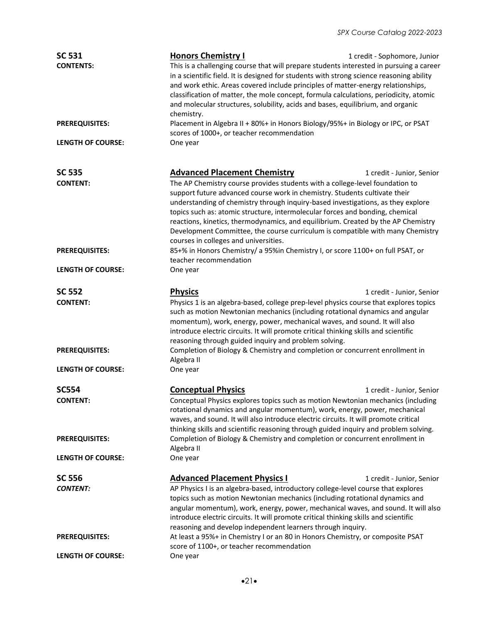| <b>SC 531</b><br><b>CONTENTS:</b>                 | <b>Honors Chemistry I</b><br>This is a challenging course that will prepare students interested in pursuing a career<br>in a scientific field. It is designed for students with strong science reasoning ability<br>and work ethic. Areas covered include principles of matter-energy relationships,<br>classification of matter, the mole concept, formula calculations, periodicity, atomic<br>and molecular structures, solubility, acids and bases, equilibrium, and organic<br>chemistry.                                                                                         | 1 credit - Sophomore, Junior |  |
|---------------------------------------------------|----------------------------------------------------------------------------------------------------------------------------------------------------------------------------------------------------------------------------------------------------------------------------------------------------------------------------------------------------------------------------------------------------------------------------------------------------------------------------------------------------------------------------------------------------------------------------------------|------------------------------|--|
| <b>PREREQUISITES:</b><br><b>LENGTH OF COURSE:</b> | Placement in Algebra II + 80%+ in Honors Biology/95%+ in Biology or IPC, or PSAT<br>scores of 1000+, or teacher recommendation<br>One year                                                                                                                                                                                                                                                                                                                                                                                                                                             |                              |  |
|                                                   |                                                                                                                                                                                                                                                                                                                                                                                                                                                                                                                                                                                        |                              |  |
| <b>SC 535</b><br><b>CONTENT:</b>                  | <b>Advanced Placement Chemistry</b><br>The AP Chemistry course provides students with a college-level foundation to<br>support future advanced course work in chemistry. Students cultivate their<br>understanding of chemistry through inquiry-based investigations, as they explore<br>topics such as: atomic structure, intermolecular forces and bonding, chemical<br>reactions, kinetics, thermodynamics, and equilibrium. Created by the AP Chemistry<br>Development Committee, the course curriculum is compatible with many Chemistry<br>courses in colleges and universities. | 1 credit - Junior, Senior    |  |
| <b>PREREQUISITES:</b>                             | 85+% in Honors Chemistry/ a 95%in Chemistry I, or score 1100+ on full PSAT, or<br>teacher recommendation                                                                                                                                                                                                                                                                                                                                                                                                                                                                               |                              |  |
| <b>LENGTH OF COURSE:</b>                          | One year                                                                                                                                                                                                                                                                                                                                                                                                                                                                                                                                                                               |                              |  |
| <b>SC 552</b><br><b>CONTENT:</b>                  | <b>Physics</b><br>Physics 1 is an algebra-based, college prep-level physics course that explores topics<br>such as motion Newtonian mechanics (including rotational dynamics and angular<br>momentum), work, energy, power, mechanical waves, and sound. It will also<br>introduce electric circuits. It will promote critical thinking skills and scientific<br>reasoning through guided inquiry and problem solving.                                                                                                                                                                 | 1 credit - Junior, Senior    |  |
| <b>PREREQUISITES:</b><br><b>LENGTH OF COURSE:</b> | Completion of Biology & Chemistry and completion or concurrent enrollment in<br>Algebra II                                                                                                                                                                                                                                                                                                                                                                                                                                                                                             |                              |  |
|                                                   | One year                                                                                                                                                                                                                                                                                                                                                                                                                                                                                                                                                                               |                              |  |
| <b>SC554</b><br><b>CONTENT:</b>                   | <b>Conceptual Physics</b><br>Conceptual Physics explores topics such as motion Newtonian mechanics (including<br>rotational dynamics and angular momentum), work, energy, power, mechanical<br>waves, and sound. It will also introduce electric circuits. It will promote critical<br>thinking skills and scientific reasoning through guided inquiry and problem solving.                                                                                                                                                                                                            | 1 credit - Junior, Senior    |  |
| <b>PREREQUISITES:</b><br><b>LENGTH OF COURSE:</b> | Completion of Biology & Chemistry and completion or concurrent enrollment in<br>Algebra II<br>One year                                                                                                                                                                                                                                                                                                                                                                                                                                                                                 |                              |  |
|                                                   |                                                                                                                                                                                                                                                                                                                                                                                                                                                                                                                                                                                        |                              |  |
| <b>SC 556</b><br><b>CONTENT:</b>                  | <b>Advanced Placement Physics I</b><br>AP Physics I is an algebra-based, introductory college-level course that explores<br>topics such as motion Newtonian mechanics (including rotational dynamics and<br>angular momentum), work, energy, power, mechanical waves, and sound. It will also<br>introduce electric circuits. It will promote critical thinking skills and scientific<br>reasoning and develop independent learners through inquiry.                                                                                                                                   | 1 credit - Junior, Senior    |  |
| <b>PREREQUISITES:</b>                             | At least a 95%+ in Chemistry I or an 80 in Honors Chemistry, or composite PSAT<br>score of 1100+, or teacher recommendation                                                                                                                                                                                                                                                                                                                                                                                                                                                            |                              |  |
| <b>LENGTH OF COURSE:</b>                          | One year                                                                                                                                                                                                                                                                                                                                                                                                                                                                                                                                                                               |                              |  |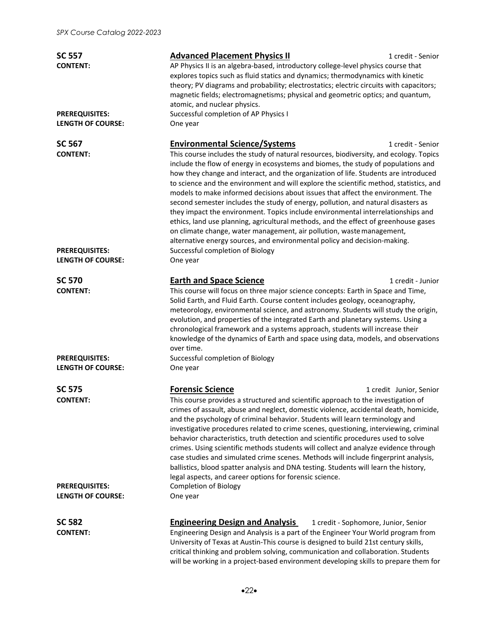| <b>SC 557</b><br><b>CONTENT:</b><br><b>PREREQUISITES:</b><br><b>LENGTH OF COURSE:</b> | <b>Advanced Placement Physics II</b><br>1 credit - Senior<br>AP Physics II is an algebra-based, introductory college-level physics course that<br>explores topics such as fluid statics and dynamics; thermodynamics with kinetic<br>theory; PV diagrams and probability; electrostatics; electric circuits with capacitors;<br>magnetic fields; electromagnetisms; physical and geometric optics; and quantum,<br>atomic, and nuclear physics.<br>Successful completion of AP Physics I<br>One year                                                                                                                                                                                                                                                                                                                                                                                                                               |
|---------------------------------------------------------------------------------------|------------------------------------------------------------------------------------------------------------------------------------------------------------------------------------------------------------------------------------------------------------------------------------------------------------------------------------------------------------------------------------------------------------------------------------------------------------------------------------------------------------------------------------------------------------------------------------------------------------------------------------------------------------------------------------------------------------------------------------------------------------------------------------------------------------------------------------------------------------------------------------------------------------------------------------|
| <b>SC 567</b><br><b>CONTENT:</b>                                                      | <b>Environmental Science/Systems</b><br>1 credit - Senior<br>This course includes the study of natural resources, biodiversity, and ecology. Topics<br>include the flow of energy in ecosystems and biomes, the study of populations and<br>how they change and interact, and the organization of life. Students are introduced<br>to science and the environment and will explore the scientific method, statistics, and<br>models to make informed decisions about issues that affect the environment. The<br>second semester includes the study of energy, pollution, and natural disasters as<br>they impact the environment. Topics include environmental interrelationships and<br>ethics, land use planning, agricultural methods, and the effect of greenhouse gases<br>on climate change, water management, air pollution, waste management,<br>alternative energy sources, and environmental policy and decision-making. |
| <b>PREREQUISITES:</b><br><b>LENGTH OF COURSE:</b>                                     | Successful completion of Biology<br>One year                                                                                                                                                                                                                                                                                                                                                                                                                                                                                                                                                                                                                                                                                                                                                                                                                                                                                       |
| <b>SC 570</b><br><b>CONTENT:</b>                                                      | <b>Earth and Space Science</b><br>1 credit - Junior<br>This course will focus on three major science concepts: Earth in Space and Time,<br>Solid Earth, and Fluid Earth. Course content includes geology, oceanography,<br>meteorology, environmental science, and astronomy. Students will study the origin,<br>evolution, and properties of the integrated Earth and planetary systems. Using a<br>chronological framework and a systems approach, students will increase their<br>knowledge of the dynamics of Earth and space using data, models, and observations<br>over time.                                                                                                                                                                                                                                                                                                                                               |
| <b>PREREQUISITES:</b><br><b>LENGTH OF COURSE:</b>                                     | Successful completion of Biology<br>One year                                                                                                                                                                                                                                                                                                                                                                                                                                                                                                                                                                                                                                                                                                                                                                                                                                                                                       |
| <b>SC 575</b><br><b>CONTENT:</b><br><b>PREREQUISITES:</b><br><b>LENGTH OF COURSE:</b> | <b>Forensic Science</b><br>1 credit Junior, Senior<br>This course provides a structured and scientific approach to the investigation of<br>crimes of assault, abuse and neglect, domestic violence, accidental death, homicide,<br>and the psychology of criminal behavior. Students will learn terminology and<br>investigative procedures related to crime scenes, questioning, interviewing, criminal<br>behavior characteristics, truth detection and scientific procedures used to solve<br>crimes. Using scientific methods students will collect and analyze evidence through<br>case studies and simulated crime scenes. Methods will include fingerprint analysis,<br>ballistics, blood spatter analysis and DNA testing. Students will learn the history,<br>legal aspects, and career options for forensic science.<br><b>Completion of Biology</b><br>One year                                                         |
| <b>SC 582</b><br><b>CONTENT:</b>                                                      | <b>Engineering Design and Analysis</b><br>1 credit - Sophomore, Junior, Senior<br>Engineering Design and Analysis is a part of the Engineer Your World program from<br>University of Texas at Austin-This course is designed to build 21st century skills,<br>critical thinking and problem solving, communication and collaboration. Students                                                                                                                                                                                                                                                                                                                                                                                                                                                                                                                                                                                     |

will be working in a project-based environment developing skills to prepare them for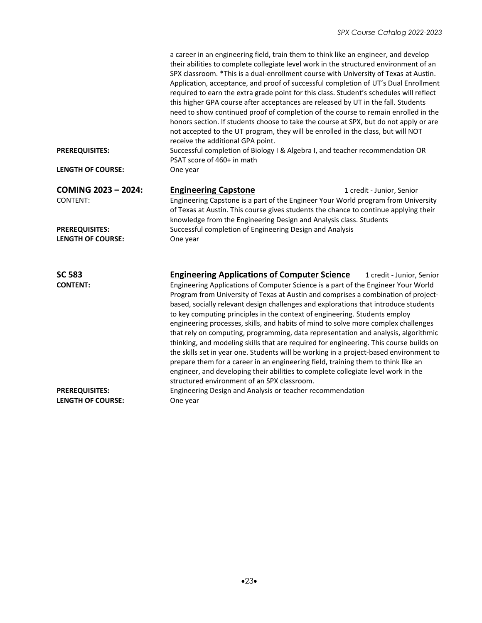|                                                   | a career in an engineering field, train them to think like an engineer, and develop<br>their abilities to complete collegiate level work in the structured environment of an<br>SPX classroom. *This is a dual-enrollment course with University of Texas at Austin.<br>Application, acceptance, and proof of successful completion of UT's Dual Enrollment<br>required to earn the extra grade point for this class. Student's schedules will reflect<br>this higher GPA course after acceptances are released by UT in the fall. Students<br>need to show continued proof of completion of the course to remain enrolled in the<br>honors section. If students choose to take the course at SPX, but do not apply or are<br>not accepted to the UT program, they will be enrolled in the class, but will NOT<br>receive the additional GPA point.                                                                                                                                                                       |  |
|---------------------------------------------------|---------------------------------------------------------------------------------------------------------------------------------------------------------------------------------------------------------------------------------------------------------------------------------------------------------------------------------------------------------------------------------------------------------------------------------------------------------------------------------------------------------------------------------------------------------------------------------------------------------------------------------------------------------------------------------------------------------------------------------------------------------------------------------------------------------------------------------------------------------------------------------------------------------------------------------------------------------------------------------------------------------------------------|--|
| <b>PREREQUISITES:</b>                             | Successful completion of Biology I & Algebra I, and teacher recommendation OR<br>PSAT score of 460+ in math                                                                                                                                                                                                                                                                                                                                                                                                                                                                                                                                                                                                                                                                                                                                                                                                                                                                                                               |  |
| <b>LENGTH OF COURSE:</b>                          | One year                                                                                                                                                                                                                                                                                                                                                                                                                                                                                                                                                                                                                                                                                                                                                                                                                                                                                                                                                                                                                  |  |
| COMING 2023 - 2024:<br><b>CONTENT:</b>            | <b>Engineering Capstone</b><br>1 credit - Junior, Senior<br>Engineering Capstone is a part of the Engineer Your World program from University<br>of Texas at Austin. This course gives students the chance to continue applying their<br>knowledge from the Engineering Design and Analysis class. Students                                                                                                                                                                                                                                                                                                                                                                                                                                                                                                                                                                                                                                                                                                               |  |
| <b>PREREQUISITES:</b><br><b>LENGTH OF COURSE:</b> | Successful completion of Engineering Design and Analysis<br>One year                                                                                                                                                                                                                                                                                                                                                                                                                                                                                                                                                                                                                                                                                                                                                                                                                                                                                                                                                      |  |
| <b>SC 583</b><br><b>CONTENT:</b>                  | <b>Engineering Applications of Computer Science</b><br>1 credit - Junior, Senior<br>Engineering Applications of Computer Science is a part of the Engineer Your World<br>Program from University of Texas at Austin and comprises a combination of project-<br>based, socially relevant design challenges and explorations that introduce students<br>to key computing principles in the context of engineering. Students employ<br>engineering processes, skills, and habits of mind to solve more complex challenges<br>that rely on computing, programming, data representation and analysis, algorithmic<br>thinking, and modeling skills that are required for engineering. This course builds on<br>the skills set in year one. Students will be working in a project-based environment to<br>prepare them for a career in an engineering field, training them to think like an<br>engineer, and developing their abilities to complete collegiate level work in the<br>structured environment of an SPX classroom. |  |
| <b>PREREQUISITES:</b><br><b>LENGTH OF COURSE:</b> | Engineering Design and Analysis or teacher recommendation<br>One year                                                                                                                                                                                                                                                                                                                                                                                                                                                                                                                                                                                                                                                                                                                                                                                                                                                                                                                                                     |  |
|                                                   |                                                                                                                                                                                                                                                                                                                                                                                                                                                                                                                                                                                                                                                                                                                                                                                                                                                                                                                                                                                                                           |  |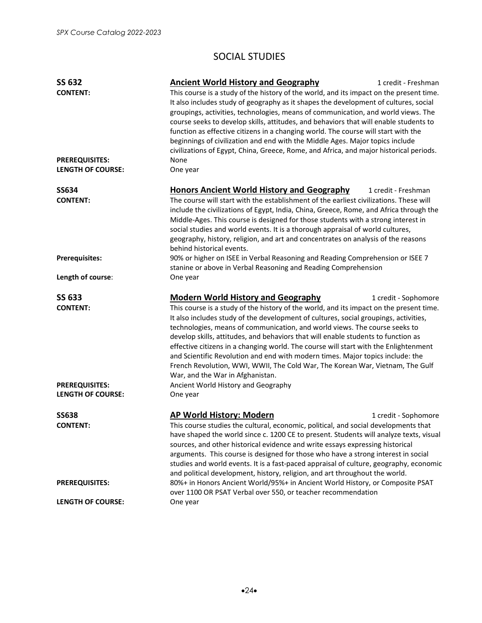### SOCIAL STUDIES

| <b>SS 632</b>                                                                                          | <b>Ancient World History and Geography</b>                                                                                                                                                                                                                                                                                                                                                                                                                                                                                           | 1 credit - Freshman                                                           |  |
|--------------------------------------------------------------------------------------------------------|--------------------------------------------------------------------------------------------------------------------------------------------------------------------------------------------------------------------------------------------------------------------------------------------------------------------------------------------------------------------------------------------------------------------------------------------------------------------------------------------------------------------------------------|-------------------------------------------------------------------------------|--|
| <b>CONTENT:</b>                                                                                        | This course is a study of the history of the world, and its impact on the present time.<br>It also includes study of geography as it shapes the development of cultures, social<br>groupings, activities, technologies, means of communication, and world views. The<br>course seeks to develop skills, attitudes, and behaviors that will enable students to<br>function as effective citizens in a changing world. The course will start with the<br>beginnings of civilization and end with the Middle Ages. Major topics include |                                                                               |  |
|                                                                                                        |                                                                                                                                                                                                                                                                                                                                                                                                                                                                                                                                      |                                                                               |  |
|                                                                                                        |                                                                                                                                                                                                                                                                                                                                                                                                                                                                                                                                      |                                                                               |  |
|                                                                                                        |                                                                                                                                                                                                                                                                                                                                                                                                                                                                                                                                      |                                                                               |  |
|                                                                                                        |                                                                                                                                                                                                                                                                                                                                                                                                                                                                                                                                      |                                                                               |  |
|                                                                                                        |                                                                                                                                                                                                                                                                                                                                                                                                                                                                                                                                      |                                                                               |  |
|                                                                                                        | civilizations of Egypt, China, Greece, Rome, and Africa, and major historical periods.                                                                                                                                                                                                                                                                                                                                                                                                                                               |                                                                               |  |
| <b>PREREQUISITES:</b>                                                                                  | None                                                                                                                                                                                                                                                                                                                                                                                                                                                                                                                                 |                                                                               |  |
| <b>LENGTH OF COURSE:</b>                                                                               | One year                                                                                                                                                                                                                                                                                                                                                                                                                                                                                                                             |                                                                               |  |
| <b>SS634</b>                                                                                           | <b>Honors Ancient World History and Geography</b><br>1 credit - Freshman                                                                                                                                                                                                                                                                                                                                                                                                                                                             |                                                                               |  |
| <b>CONTENT:</b>                                                                                        | The course will start with the establishment of the earliest civilizations. These will                                                                                                                                                                                                                                                                                                                                                                                                                                               |                                                                               |  |
|                                                                                                        | include the civilizations of Egypt, India, China, Greece, Rome, and Africa through the                                                                                                                                                                                                                                                                                                                                                                                                                                               |                                                                               |  |
|                                                                                                        | Middle-Ages. This course is designed for those students with a strong interest in                                                                                                                                                                                                                                                                                                                                                                                                                                                    |                                                                               |  |
|                                                                                                        | social studies and world events. It is a thorough appraisal of world cultures,                                                                                                                                                                                                                                                                                                                                                                                                                                                       |                                                                               |  |
|                                                                                                        | geography, history, religion, and art and concentrates on analysis of the reasons                                                                                                                                                                                                                                                                                                                                                                                                                                                    |                                                                               |  |
|                                                                                                        | behind historical events.                                                                                                                                                                                                                                                                                                                                                                                                                                                                                                            |                                                                               |  |
| <b>Prerequisites:</b>                                                                                  | 90% or higher on ISEE in Verbal Reasoning and Reading Comprehension or ISEE 7                                                                                                                                                                                                                                                                                                                                                                                                                                                        |                                                                               |  |
|                                                                                                        | stanine or above in Verbal Reasoning and Reading Comprehension                                                                                                                                                                                                                                                                                                                                                                                                                                                                       |                                                                               |  |
| Length of course:                                                                                      | One year                                                                                                                                                                                                                                                                                                                                                                                                                                                                                                                             |                                                                               |  |
| <b>SS 633</b>                                                                                          | <b>Modern World History and Geography</b>                                                                                                                                                                                                                                                                                                                                                                                                                                                                                            | 1 credit - Sophomore                                                          |  |
| <b>CONTENT:</b>                                                                                        | This course is a study of the history of the world, and its impact on the present time.                                                                                                                                                                                                                                                                                                                                                                                                                                              |                                                                               |  |
|                                                                                                        | It also includes study of the development of cultures, social groupings, activities,                                                                                                                                                                                                                                                                                                                                                                                                                                                 |                                                                               |  |
|                                                                                                        | technologies, means of communication, and world views. The course seeks to                                                                                                                                                                                                                                                                                                                                                                                                                                                           |                                                                               |  |
|                                                                                                        | develop skills, attitudes, and behaviors that will enable students to function as                                                                                                                                                                                                                                                                                                                                                                                                                                                    |                                                                               |  |
|                                                                                                        | effective citizens in a changing world. The course will start with the Enlightenment                                                                                                                                                                                                                                                                                                                                                                                                                                                 |                                                                               |  |
|                                                                                                        | and Scientific Revolution and end with modern times. Major topics include: the                                                                                                                                                                                                                                                                                                                                                                                                                                                       |                                                                               |  |
|                                                                                                        |                                                                                                                                                                                                                                                                                                                                                                                                                                                                                                                                      | French Revolution, WWI, WWII, The Cold War, The Korean War, Vietnam, The Gulf |  |
|                                                                                                        | War, and the War in Afghanistan.                                                                                                                                                                                                                                                                                                                                                                                                                                                                                                     |                                                                               |  |
| <b>PREREQUISITES:</b>                                                                                  | Ancient World History and Geography                                                                                                                                                                                                                                                                                                                                                                                                                                                                                                  |                                                                               |  |
| <b>LENGTH OF COURSE:</b>                                                                               | One year                                                                                                                                                                                                                                                                                                                                                                                                                                                                                                                             |                                                                               |  |
| <b>SS638</b>                                                                                           | AP World History: Modern                                                                                                                                                                                                                                                                                                                                                                                                                                                                                                             | 1 credit - Sophomore                                                          |  |
| <b>CONTENT:</b><br>This course studies the cultural, economic, political, and social developments that |                                                                                                                                                                                                                                                                                                                                                                                                                                                                                                                                      |                                                                               |  |
|                                                                                                        | have shaped the world since c. 1200 CE to present. Students will analyze texts, visual                                                                                                                                                                                                                                                                                                                                                                                                                                               |                                                                               |  |
|                                                                                                        | sources, and other historical evidence and write essays expressing historical                                                                                                                                                                                                                                                                                                                                                                                                                                                        |                                                                               |  |
|                                                                                                        | arguments. This course is designed for those who have a strong interest in social                                                                                                                                                                                                                                                                                                                                                                                                                                                    |                                                                               |  |
| studies and world events. It is a fast-paced appraisal of culture, geography, economic                 |                                                                                                                                                                                                                                                                                                                                                                                                                                                                                                                                      |                                                                               |  |
|                                                                                                        | and political development, history, religion, and art throughout the world.                                                                                                                                                                                                                                                                                                                                                                                                                                                          |                                                                               |  |
| <b>PREREQUISITES:</b>                                                                                  | 80%+ in Honors Ancient World/95%+ in Ancient World History, or Composite PSAT<br>over 1100 OR PSAT Verbal over 550, or teacher recommendation                                                                                                                                                                                                                                                                                                                                                                                        |                                                                               |  |
| <b>LENGTH OF COURSE:</b>                                                                               | One year                                                                                                                                                                                                                                                                                                                                                                                                                                                                                                                             |                                                                               |  |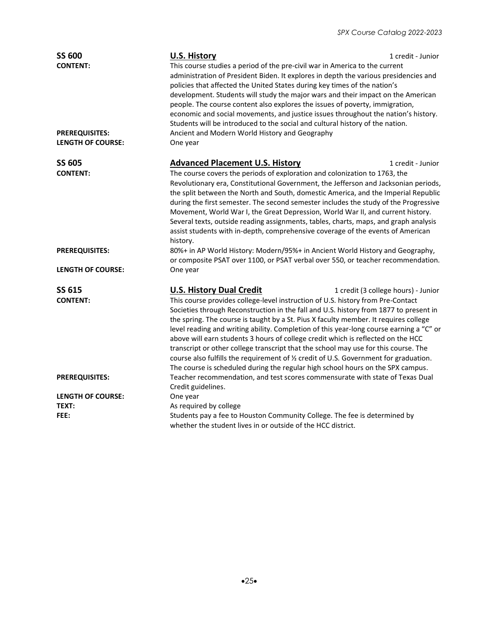| <b>SS 600</b><br><b>CONTENT:</b>                  | <b>U.S. History</b><br>This course studies a period of the pre-civil war in America to the current<br>administration of President Biden. It explores in depth the various presidencies and<br>policies that affected the United States during key times of the nation's<br>development. Students will study the major wars and their impact on the American<br>people. The course content also explores the issues of poverty, immigration,<br>economic and social movements, and justice issues throughout the nation's history.<br>Students will be introduced to the social and cultural history of the nation.                                                                                                 | 1 credit - Junior                   |  |
|---------------------------------------------------|--------------------------------------------------------------------------------------------------------------------------------------------------------------------------------------------------------------------------------------------------------------------------------------------------------------------------------------------------------------------------------------------------------------------------------------------------------------------------------------------------------------------------------------------------------------------------------------------------------------------------------------------------------------------------------------------------------------------|-------------------------------------|--|
| <b>PREREQUISITES:</b><br><b>LENGTH OF COURSE:</b> | Ancient and Modern World History and Geography<br>One year                                                                                                                                                                                                                                                                                                                                                                                                                                                                                                                                                                                                                                                         |                                     |  |
| <b>SS 605</b>                                     | <b>Advanced Placement U.S. History</b>                                                                                                                                                                                                                                                                                                                                                                                                                                                                                                                                                                                                                                                                             | 1 credit - Junior                   |  |
| <b>CONTENT:</b>                                   | The course covers the periods of exploration and colonization to 1763, the<br>Revolutionary era, Constitutional Government, the Jefferson and Jacksonian periods,<br>the split between the North and South, domestic America, and the Imperial Republic<br>during the first semester. The second semester includes the study of the Progressive<br>Movement, World War I, the Great Depression, World War II, and current history.<br>Several texts, outside reading assignments, tables, charts, maps, and graph analysis<br>assist students with in-depth, comprehensive coverage of the events of American<br>history.                                                                                          |                                     |  |
| <b>PREREQUISITES:</b>                             | 80%+ in AP World History: Modern/95%+ in Ancient World History and Geography,<br>or composite PSAT over 1100, or PSAT verbal over 550, or teacher recommendation.                                                                                                                                                                                                                                                                                                                                                                                                                                                                                                                                                  |                                     |  |
| LENGTH OF COURSE:                                 | One year                                                                                                                                                                                                                                                                                                                                                                                                                                                                                                                                                                                                                                                                                                           |                                     |  |
| <b>SS 615</b>                                     | <b>U.S. History Dual Credit</b>                                                                                                                                                                                                                                                                                                                                                                                                                                                                                                                                                                                                                                                                                    | 1 credit (3 college hours) - Junior |  |
| <b>CONTENT:</b>                                   | This course provides college-level instruction of U.S. history from Pre-Contact<br>Societies through Reconstruction in the fall and U.S. history from 1877 to present in<br>the spring. The course is taught by a St. Pius X faculty member. It requires college<br>level reading and writing ability. Completion of this year-long course earning a "C" or<br>above will earn students 3 hours of college credit which is reflected on the HCC<br>transcript or other college transcript that the school may use for this course. The<br>course also fulfills the requirement of 1/2 credit of U.S. Government for graduation.<br>The course is scheduled during the regular high school hours on the SPX campus. |                                     |  |
| <b>PREREQUISITES:</b>                             | Teacher recommendation, and test scores commensurate with state of Texas Dual<br>Credit guidelines.                                                                                                                                                                                                                                                                                                                                                                                                                                                                                                                                                                                                                |                                     |  |
| <b>LENGTH OF COURSE:</b>                          | One year                                                                                                                                                                                                                                                                                                                                                                                                                                                                                                                                                                                                                                                                                                           |                                     |  |
| TEXT:                                             | As required by college                                                                                                                                                                                                                                                                                                                                                                                                                                                                                                                                                                                                                                                                                             |                                     |  |
| FEE:                                              | Students pay a fee to Houston Community College. The fee is determined by<br>whether the student lives in or outside of the HCC district.                                                                                                                                                                                                                                                                                                                                                                                                                                                                                                                                                                          |                                     |  |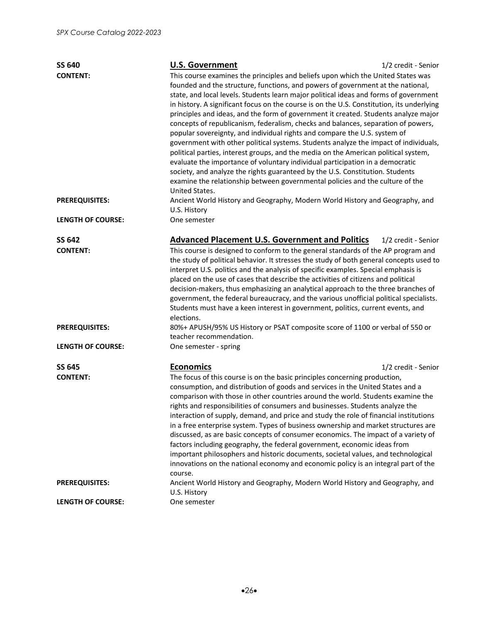| <b>SS 640</b>                    | <b>U.S. Government</b>                                                                                                                                                                                                                                                                                                                                                                                                                                                                                                                                                                                                                                                                                                                                                                                                                                                                                                                                                                                                                                                 | 1/2 credit - Senior                                                          |  |
|----------------------------------|------------------------------------------------------------------------------------------------------------------------------------------------------------------------------------------------------------------------------------------------------------------------------------------------------------------------------------------------------------------------------------------------------------------------------------------------------------------------------------------------------------------------------------------------------------------------------------------------------------------------------------------------------------------------------------------------------------------------------------------------------------------------------------------------------------------------------------------------------------------------------------------------------------------------------------------------------------------------------------------------------------------------------------------------------------------------|------------------------------------------------------------------------------|--|
| <b>CONTENT:</b>                  | This course examines the principles and beliefs upon which the United States was<br>founded and the structure, functions, and powers of government at the national,<br>state, and local levels. Students learn major political ideas and forms of government<br>in history. A significant focus on the course is on the U.S. Constitution, its underlying<br>principles and ideas, and the form of government it created. Students analyze major<br>concepts of republicanism, federalism, checks and balances, separation of powers,<br>popular sovereignty, and individual rights and compare the U.S. system of<br>government with other political systems. Students analyze the impact of individuals,<br>political parties, interest groups, and the media on the American political system,<br>evaluate the importance of voluntary individual participation in a democratic<br>society, and analyze the rights guaranteed by the U.S. Constitution. Students<br>examine the relationship between governmental policies and the culture of the<br>United States. |                                                                              |  |
| <b>PREREQUISITES:</b>            | U.S. History                                                                                                                                                                                                                                                                                                                                                                                                                                                                                                                                                                                                                                                                                                                                                                                                                                                                                                                                                                                                                                                           | Ancient World History and Geography, Modern World History and Geography, and |  |
| <b>LENGTH OF COURSE:</b>         | One semester                                                                                                                                                                                                                                                                                                                                                                                                                                                                                                                                                                                                                                                                                                                                                                                                                                                                                                                                                                                                                                                           |                                                                              |  |
| <b>SS 642</b>                    | <b>Advanced Placement U.S. Government and Politics</b>                                                                                                                                                                                                                                                                                                                                                                                                                                                                                                                                                                                                                                                                                                                                                                                                                                                                                                                                                                                                                 | 1/2 credit - Senior                                                          |  |
| <b>CONTENT:</b>                  | This course is designed to conform to the general standards of the AP program and<br>the study of political behavior. It stresses the study of both general concepts used to<br>interpret U.S. politics and the analysis of specific examples. Special emphasis is<br>placed on the use of cases that describe the activities of citizens and political<br>decision-makers, thus emphasizing an analytical approach to the three branches of<br>government, the federal bureaucracy, and the various unofficial political specialists.<br>Students must have a keen interest in government, politics, current events, and<br>elections.                                                                                                                                                                                                                                                                                                                                                                                                                                |                                                                              |  |
| <b>PREREQUISITES:</b>            | 80%+ APUSH/95% US History or PSAT composite score of 1100 or verbal of 550 or<br>teacher recommendation.                                                                                                                                                                                                                                                                                                                                                                                                                                                                                                                                                                                                                                                                                                                                                                                                                                                                                                                                                               |                                                                              |  |
| <b>LENGTH OF COURSE:</b>         | One semester - spring                                                                                                                                                                                                                                                                                                                                                                                                                                                                                                                                                                                                                                                                                                                                                                                                                                                                                                                                                                                                                                                  |                                                                              |  |
| <b>SS 645</b><br><b>CONTENT:</b> | <b>Economics</b><br>The focus of this course is on the basic principles concerning production,<br>consumption, and distribution of goods and services in the United States and a<br>comparison with those in other countries around the world. Students examine the<br>rights and responsibilities of consumers and businesses. Students analyze the<br>interaction of supply, demand, and price and study the role of financial institutions<br>in a free enterprise system. Types of business ownership and market structures are<br>discussed, as are basic concepts of consumer economics. The impact of a variety of<br>factors including geography, the federal government, economic ideas from<br>important philosophers and historic documents, societal values, and technological<br>innovations on the national economy and economic policy is an integral part of the<br>course.                                                                                                                                                                            | 1/2 credit - Senior                                                          |  |
| <b>PREREQUISITES:</b>            | Ancient World History and Geography, Modern World History and Geography, and<br>U.S. History                                                                                                                                                                                                                                                                                                                                                                                                                                                                                                                                                                                                                                                                                                                                                                                                                                                                                                                                                                           |                                                                              |  |
| <b>LENGTH OF COURSE:</b>         | One semester                                                                                                                                                                                                                                                                                                                                                                                                                                                                                                                                                                                                                                                                                                                                                                                                                                                                                                                                                                                                                                                           |                                                                              |  |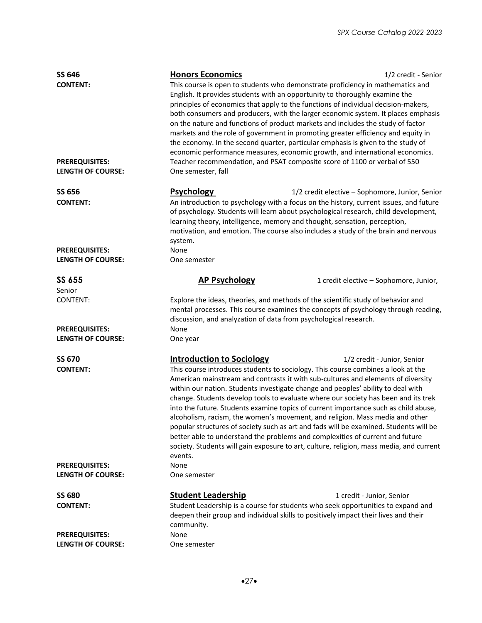| SS 646<br><b>CONTENT:</b>                          | <b>Honors Economics</b><br>This course is open to students who demonstrate proficiency in mathematics and<br>English. It provides students with an opportunity to thoroughly examine the<br>principles of economics that apply to the functions of individual decision-makers,<br>both consumers and producers, with the larger economic system. It places emphasis<br>on the nature and functions of product markets and includes the study of factor<br>markets and the role of government in promoting greater efficiency and equity in<br>the economy. In the second quarter, particular emphasis is given to the study of<br>economic performance measures, economic growth, and international economics.                                                                                                                            | 1/2 credit - Senior                    |  |
|----------------------------------------------------|-------------------------------------------------------------------------------------------------------------------------------------------------------------------------------------------------------------------------------------------------------------------------------------------------------------------------------------------------------------------------------------------------------------------------------------------------------------------------------------------------------------------------------------------------------------------------------------------------------------------------------------------------------------------------------------------------------------------------------------------------------------------------------------------------------------------------------------------|----------------------------------------|--|
| <b>PREREQUISITES:</b><br><b>LENGTH OF COURSE:</b>  | Teacher recommendation, and PSAT composite score of 1100 or verbal of 550<br>One semester, fall                                                                                                                                                                                                                                                                                                                                                                                                                                                                                                                                                                                                                                                                                                                                           |                                        |  |
| <b>SS 656</b><br><b>CONTENT:</b>                   | <b>Psychology</b><br>1/2 credit elective - Sophomore, Junior, Senior<br>An introduction to psychology with a focus on the history, current issues, and future<br>of psychology. Students will learn about psychological research, child development,<br>learning theory, intelligence, memory and thought, sensation, perception,<br>motivation, and emotion. The course also includes a study of the brain and nervous<br>system.                                                                                                                                                                                                                                                                                                                                                                                                        |                                        |  |
| <b>PREREQUISITES:</b><br><b>LENGTH OF COURSE:</b>  | None<br>One semester                                                                                                                                                                                                                                                                                                                                                                                                                                                                                                                                                                                                                                                                                                                                                                                                                      |                                        |  |
| SS 655                                             | <b>AP Psychology</b>                                                                                                                                                                                                                                                                                                                                                                                                                                                                                                                                                                                                                                                                                                                                                                                                                      | 1 credit elective - Sophomore, Junior, |  |
| Senior<br><b>CONTENT:</b><br><b>PREREQUISITES:</b> | Explore the ideas, theories, and methods of the scientific study of behavior and<br>mental processes. This course examines the concepts of psychology through reading,<br>discussion, and analyzation of data from psychological research.<br>None                                                                                                                                                                                                                                                                                                                                                                                                                                                                                                                                                                                        |                                        |  |
| <b>LENGTH OF COURSE:</b>                           | One year                                                                                                                                                                                                                                                                                                                                                                                                                                                                                                                                                                                                                                                                                                                                                                                                                                  |                                        |  |
| <b>SS 670</b><br><b>CONTENT:</b>                   | <b>Introduction to Sociology</b><br>This course introduces students to sociology. This course combines a look at the<br>American mainstream and contrasts it with sub-cultures and elements of diversity<br>within our nation. Students investigate change and peoples' ability to deal with<br>change. Students develop tools to evaluate where our society has been and its trek<br>into the future. Students examine topics of current importance such as child abuse,<br>alcoholism, racism, the women's movement, and religion. Mass media and other<br>popular structures of society such as art and fads will be examined. Students will be<br>better able to understand the problems and complexities of current and future<br>society. Students will gain exposure to art, culture, religion, mass media, and current<br>events. | 1/2 credit - Junior, Senior            |  |
| <b>PREREQUISITES:</b><br><b>LENGTH OF COURSE:</b>  | None<br>One semester                                                                                                                                                                                                                                                                                                                                                                                                                                                                                                                                                                                                                                                                                                                                                                                                                      |                                        |  |
| <b>SS 680</b><br><b>CONTENT:</b>                   | <b>Student Leadership</b><br>Student Leadership is a course for students who seek opportunities to expand and<br>deepen their group and individual skills to positively impact their lives and their<br>community.                                                                                                                                                                                                                                                                                                                                                                                                                                                                                                                                                                                                                        | 1 credit - Junior, Senior              |  |
| <b>PREREQUISITES:</b><br><b>LENGTH OF COURSE:</b>  | None<br>One semester                                                                                                                                                                                                                                                                                                                                                                                                                                                                                                                                                                                                                                                                                                                                                                                                                      |                                        |  |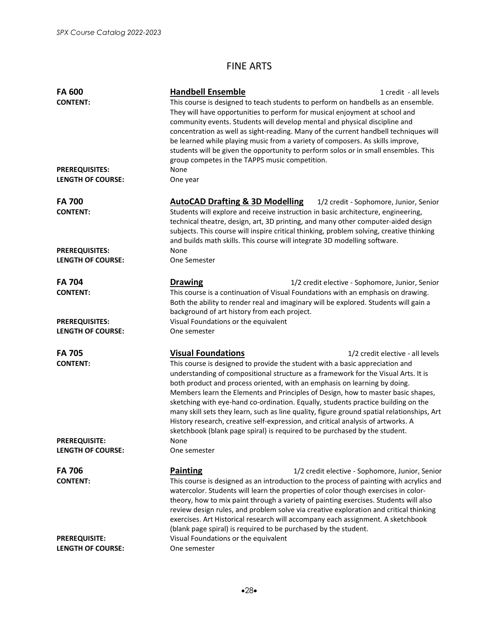# FINE ARTS

| <b>FA 600</b><br><b>CONTENT:</b><br><b>PREREQUISITES:</b> | <b>Handbell Ensemble</b><br>This course is designed to teach students to perform on handbells as an ensemble.<br>They will have opportunities to perform for musical enjoyment at school and<br>community events. Students will develop mental and physical discipline and<br>concentration as well as sight-reading. Many of the current handbell techniques will<br>be learned while playing music from a variety of composers. As skills improve,<br>students will be given the opportunity to perform solos or in small ensembles. This<br>group competes in the TAPPS music competition.<br>None                                                                                                                 | 1 credit - all levels                  |
|-----------------------------------------------------------|-----------------------------------------------------------------------------------------------------------------------------------------------------------------------------------------------------------------------------------------------------------------------------------------------------------------------------------------------------------------------------------------------------------------------------------------------------------------------------------------------------------------------------------------------------------------------------------------------------------------------------------------------------------------------------------------------------------------------|----------------------------------------|
| <b>LENGTH OF COURSE:</b>                                  | One year                                                                                                                                                                                                                                                                                                                                                                                                                                                                                                                                                                                                                                                                                                              |                                        |
| <b>FA 700</b><br><b>CONTENT:</b>                          | <b>AutoCAD Drafting &amp; 3D Modelling</b><br>Students will explore and receive instruction in basic architecture, engineering,<br>technical theatre, design, art, 3D printing, and many other computer-aided design<br>subjects. This course will inspire critical thinking, problem solving, creative thinking<br>and builds math skills. This course will integrate 3D modelling software.                                                                                                                                                                                                                                                                                                                         | 1/2 credit - Sophomore, Junior, Senior |
| <b>PREREQUISITES:</b><br><b>LENGTH OF COURSE:</b>         | None<br>One Semester                                                                                                                                                                                                                                                                                                                                                                                                                                                                                                                                                                                                                                                                                                  |                                        |
| <b>FA 704</b><br><b>CONTENT:</b>                          | <b>Drawing</b><br>1/2 credit elective - Sophomore, Junior, Senior<br>This course is a continuation of Visual Foundations with an emphasis on drawing.<br>Both the ability to render real and imaginary will be explored. Students will gain a<br>background of art history from each project.                                                                                                                                                                                                                                                                                                                                                                                                                         |                                        |
| <b>PREREQUISITES:</b><br><b>LENGTH OF COURSE:</b>         | Visual Foundations or the equivalent<br>One semester                                                                                                                                                                                                                                                                                                                                                                                                                                                                                                                                                                                                                                                                  |                                        |
| <b>FA 705</b><br><b>CONTENT:</b>                          | <b>Visual Foundations</b><br>This course is designed to provide the student with a basic appreciation and<br>understanding of compositional structure as a framework for the Visual Arts. It is<br>both product and process oriented, with an emphasis on learning by doing.<br>Members learn the Elements and Principles of Design, how to master basic shapes,<br>sketching with eye-hand co-ordination. Equally, students practice building on the<br>many skill sets they learn, such as line quality, figure ground spatial relationships, Art<br>History research, creative self-expression, and critical analysis of artworks. A<br>sketchbook (blank page spiral) is required to be purchased by the student. | 1/2 credit elective - all levels       |
| <b>PREREQUISITE:</b><br><b>LENGTH OF COURSE:</b>          | None<br>One semester                                                                                                                                                                                                                                                                                                                                                                                                                                                                                                                                                                                                                                                                                                  |                                        |
| <b>FA 706</b><br><b>CONTENT:</b>                          | <b>Painting</b><br>1/2 credit elective - Sophomore, Junior, Senior<br>This course is designed as an introduction to the process of painting with acrylics and<br>watercolor. Students will learn the properties of color though exercises in color-<br>theory, how to mix paint through a variety of painting exercises. Students will also<br>review design rules, and problem solve via creative exploration and critical thinking<br>exercises. Art Historical research will accompany each assignment. A sketchbook<br>(blank page spiral) is required to be purchased by the student.                                                                                                                            |                                        |
| <b>PREREQUISITE:</b><br><b>LENGTH OF COURSE:</b>          | Visual Foundations or the equivalent<br>One semester                                                                                                                                                                                                                                                                                                                                                                                                                                                                                                                                                                                                                                                                  |                                        |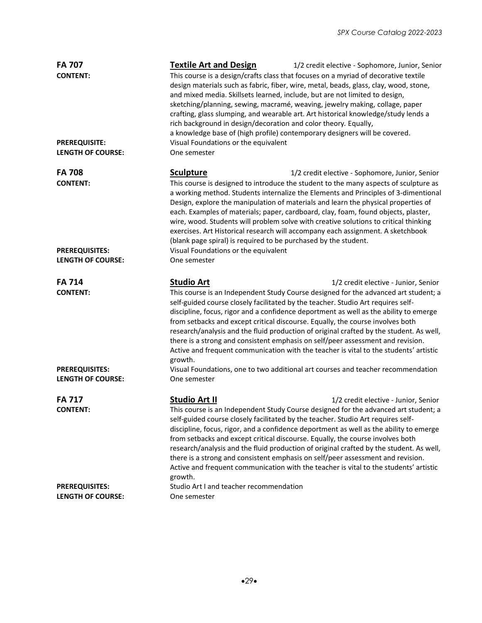| <b>FA 708</b><br><b>Sculpture</b><br>1/2 credit elective - Sophomore, Junior, Senior<br>This course is designed to introduce the student to the many aspects of sculpture as<br><b>CONTENT:</b><br>a working method. Students internalize the Elements and Principles of 3-dimentional<br>Design, explore the manipulation of materials and learn the physical properties of<br>each. Examples of materials; paper, cardboard, clay, foam, found objects, plaster,<br>wire, wood. Students will problem solve with creative solutions to critical thinking<br>exercises. Art Historical research will accompany each assignment. A sketchbook<br>(blank page spiral) is required to be purchased by the student.<br>Visual Foundations or the equivalent<br><b>PREREQUISITES:</b><br><b>LENGTH OF COURSE:</b><br>One semester<br><b>FA 714</b><br><b>Studio Art</b><br>1/2 credit elective - Junior, Senior<br><b>CONTENT:</b><br>This course is an Independent Study Course designed for the advanced art student; a<br>self-guided course closely facilitated by the teacher. Studio Art requires self-<br>discipline, focus, rigor and a confidence deportment as well as the ability to emerge<br>from setbacks and except critical discourse. Equally, the course involves both<br>research/analysis and the fluid production of original crafted by the student. As well,<br>there is a strong and consistent emphasis on self/peer assessment and revision.<br>Active and frequent communication with the teacher is vital to the students' artistic<br>growth.<br>Visual Foundations, one to two additional art courses and teacher recommendation<br><b>PREREQUISITES:</b><br><b>LENGTH OF COURSE:</b><br>One semester<br><b>Studio Art II</b><br><b>FA 717</b><br>1/2 credit elective - Junior, Senior<br>This course is an Independent Study Course designed for the advanced art student; a<br><b>CONTENT:</b><br>self-guided course closely facilitated by the teacher. Studio Art requires self-<br>discipline, focus, rigor, and a confidence deportment as well as the ability to emerge<br>from setbacks and except critical discourse. Equally, the course involves both<br>research/analysis and the fluid production of original crafted by the student. As well,<br>there is a strong and consistent emphasis on self/peer assessment and revision.<br>Active and frequent communication with the teacher is vital to the students' artistic<br>growth.<br>Studio Art I and teacher recommendation<br><b>PREREQUISITES:</b> | <b>FA 707</b><br><b>CONTENT:</b><br><b>PREREQUISITE:</b><br><b>LENGTH OF COURSE:</b> | <b>Textile Art and Design</b><br>1/2 credit elective - Sophomore, Junior, Senior<br>This course is a design/crafts class that focuses on a myriad of decorative textile<br>design materials such as fabric, fiber, wire, metal, beads, glass, clay, wood, stone,<br>and mixed media. Skillsets learned, include, but are not limited to design,<br>sketching/planning, sewing, macramé, weaving, jewelry making, collage, paper<br>crafting, glass slumping, and wearable art. Art historical knowledge/study lends a<br>rich background in design/decoration and color theory. Equally,<br>a knowledge base of (high profile) contemporary designers will be covered.<br>Visual Foundations or the equivalent<br>One semester |
|--------------------------------------------------------------------------------------------------------------------------------------------------------------------------------------------------------------------------------------------------------------------------------------------------------------------------------------------------------------------------------------------------------------------------------------------------------------------------------------------------------------------------------------------------------------------------------------------------------------------------------------------------------------------------------------------------------------------------------------------------------------------------------------------------------------------------------------------------------------------------------------------------------------------------------------------------------------------------------------------------------------------------------------------------------------------------------------------------------------------------------------------------------------------------------------------------------------------------------------------------------------------------------------------------------------------------------------------------------------------------------------------------------------------------------------------------------------------------------------------------------------------------------------------------------------------------------------------------------------------------------------------------------------------------------------------------------------------------------------------------------------------------------------------------------------------------------------------------------------------------------------------------------------------------------------------------------------------------------------------------------------------------------------------------------------------------------------------------------------------------------------------------------------------------------------------------------------------------------------------------------------------------------------------------------------------------------------------------------------------------------------------------------------------------------------------------------------------------------------------------------------------------------------------------|--------------------------------------------------------------------------------------|--------------------------------------------------------------------------------------------------------------------------------------------------------------------------------------------------------------------------------------------------------------------------------------------------------------------------------------------------------------------------------------------------------------------------------------------------------------------------------------------------------------------------------------------------------------------------------------------------------------------------------------------------------------------------------------------------------------------------------|
|                                                                                                                                                                                                                                                                                                                                                                                                                                                                                                                                                                                                                                                                                                                                                                                                                                                                                                                                                                                                                                                                                                                                                                                                                                                                                                                                                                                                                                                                                                                                                                                                                                                                                                                                                                                                                                                                                                                                                                                                                                                                                                                                                                                                                                                                                                                                                                                                                                                                                                                                                  |                                                                                      |                                                                                                                                                                                                                                                                                                                                                                                                                                                                                                                                                                                                                                                                                                                                |
|                                                                                                                                                                                                                                                                                                                                                                                                                                                                                                                                                                                                                                                                                                                                                                                                                                                                                                                                                                                                                                                                                                                                                                                                                                                                                                                                                                                                                                                                                                                                                                                                                                                                                                                                                                                                                                                                                                                                                                                                                                                                                                                                                                                                                                                                                                                                                                                                                                                                                                                                                  |                                                                                      |                                                                                                                                                                                                                                                                                                                                                                                                                                                                                                                                                                                                                                                                                                                                |
|                                                                                                                                                                                                                                                                                                                                                                                                                                                                                                                                                                                                                                                                                                                                                                                                                                                                                                                                                                                                                                                                                                                                                                                                                                                                                                                                                                                                                                                                                                                                                                                                                                                                                                                                                                                                                                                                                                                                                                                                                                                                                                                                                                                                                                                                                                                                                                                                                                                                                                                                                  |                                                                                      |                                                                                                                                                                                                                                                                                                                                                                                                                                                                                                                                                                                                                                                                                                                                |
|                                                                                                                                                                                                                                                                                                                                                                                                                                                                                                                                                                                                                                                                                                                                                                                                                                                                                                                                                                                                                                                                                                                                                                                                                                                                                                                                                                                                                                                                                                                                                                                                                                                                                                                                                                                                                                                                                                                                                                                                                                                                                                                                                                                                                                                                                                                                                                                                                                                                                                                                                  |                                                                                      |                                                                                                                                                                                                                                                                                                                                                                                                                                                                                                                                                                                                                                                                                                                                |
|                                                                                                                                                                                                                                                                                                                                                                                                                                                                                                                                                                                                                                                                                                                                                                                                                                                                                                                                                                                                                                                                                                                                                                                                                                                                                                                                                                                                                                                                                                                                                                                                                                                                                                                                                                                                                                                                                                                                                                                                                                                                                                                                                                                                                                                                                                                                                                                                                                                                                                                                                  |                                                                                      |                                                                                                                                                                                                                                                                                                                                                                                                                                                                                                                                                                                                                                                                                                                                |
|                                                                                                                                                                                                                                                                                                                                                                                                                                                                                                                                                                                                                                                                                                                                                                                                                                                                                                                                                                                                                                                                                                                                                                                                                                                                                                                                                                                                                                                                                                                                                                                                                                                                                                                                                                                                                                                                                                                                                                                                                                                                                                                                                                                                                                                                                                                                                                                                                                                                                                                                                  |                                                                                      |                                                                                                                                                                                                                                                                                                                                                                                                                                                                                                                                                                                                                                                                                                                                |
|                                                                                                                                                                                                                                                                                                                                                                                                                                                                                                                                                                                                                                                                                                                                                                                                                                                                                                                                                                                                                                                                                                                                                                                                                                                                                                                                                                                                                                                                                                                                                                                                                                                                                                                                                                                                                                                                                                                                                                                                                                                                                                                                                                                                                                                                                                                                                                                                                                                                                                                                                  |                                                                                      |                                                                                                                                                                                                                                                                                                                                                                                                                                                                                                                                                                                                                                                                                                                                |
|                                                                                                                                                                                                                                                                                                                                                                                                                                                                                                                                                                                                                                                                                                                                                                                                                                                                                                                                                                                                                                                                                                                                                                                                                                                                                                                                                                                                                                                                                                                                                                                                                                                                                                                                                                                                                                                                                                                                                                                                                                                                                                                                                                                                                                                                                                                                                                                                                                                                                                                                                  | <b>LENGTH OF COURSE:</b>                                                             | One semester                                                                                                                                                                                                                                                                                                                                                                                                                                                                                                                                                                                                                                                                                                                   |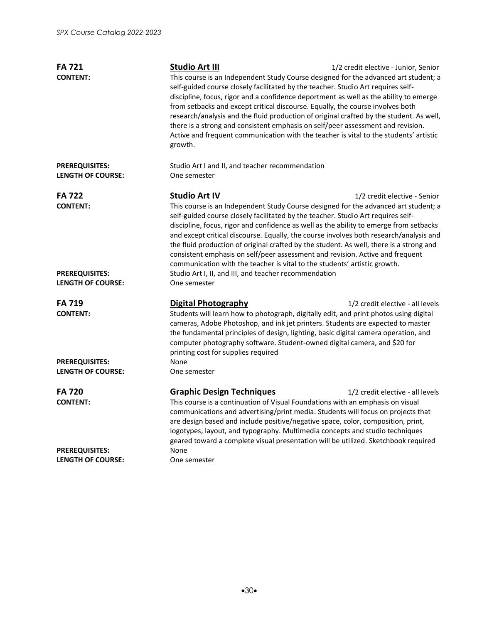| <b>FA 721</b>                                     | <b>Studio Art III</b>                                                                                                                                                                                                                                                                                                                                                                                                                                                                                                                                                                                                | 1/2 credit elective - Junior, Senior                                                                                                                                                                                                                                                                                                                                                                                                                                                                                                                                                                                      |  |
|---------------------------------------------------|----------------------------------------------------------------------------------------------------------------------------------------------------------------------------------------------------------------------------------------------------------------------------------------------------------------------------------------------------------------------------------------------------------------------------------------------------------------------------------------------------------------------------------------------------------------------------------------------------------------------|---------------------------------------------------------------------------------------------------------------------------------------------------------------------------------------------------------------------------------------------------------------------------------------------------------------------------------------------------------------------------------------------------------------------------------------------------------------------------------------------------------------------------------------------------------------------------------------------------------------------------|--|
| <b>CONTENT:</b>                                   | growth.                                                                                                                                                                                                                                                                                                                                                                                                                                                                                                                                                                                                              | This course is an Independent Study Course designed for the advanced art student; a<br>self-guided course closely facilitated by the teacher. Studio Art requires self-<br>discipline, focus, rigor and a confidence deportment as well as the ability to emerge<br>from setbacks and except critical discourse. Equally, the course involves both<br>research/analysis and the fluid production of original crafted by the student. As well,<br>there is a strong and consistent emphasis on self/peer assessment and revision.<br>Active and frequent communication with the teacher is vital to the students' artistic |  |
| <b>PREREQUISITES:</b><br><b>LENGTH OF COURSE:</b> | Studio Art I and II, and teacher recommendation<br>One semester                                                                                                                                                                                                                                                                                                                                                                                                                                                                                                                                                      |                                                                                                                                                                                                                                                                                                                                                                                                                                                                                                                                                                                                                           |  |
| <b>FA 722</b>                                     | <b>Studio Art IV</b>                                                                                                                                                                                                                                                                                                                                                                                                                                                                                                                                                                                                 | 1/2 credit elective - Senior                                                                                                                                                                                                                                                                                                                                                                                                                                                                                                                                                                                              |  |
| <b>CONTENT:</b>                                   | This course is an Independent Study Course designed for the advanced art student; a<br>self-guided course closely facilitated by the teacher. Studio Art requires self-<br>discipline, focus, rigor and confidence as well as the ability to emerge from setbacks<br>and except critical discourse. Equally, the course involves both research/analysis and<br>the fluid production of original crafted by the student. As well, there is a strong and<br>consistent emphasis on self/peer assessment and revision. Active and frequent<br>communication with the teacher is vital to the students' artistic growth. |                                                                                                                                                                                                                                                                                                                                                                                                                                                                                                                                                                                                                           |  |
| <b>PREREQUISITES:</b><br><b>LENGTH OF COURSE:</b> | Studio Art I, II, and III, and teacher recommendation<br>One semester                                                                                                                                                                                                                                                                                                                                                                                                                                                                                                                                                |                                                                                                                                                                                                                                                                                                                                                                                                                                                                                                                                                                                                                           |  |
| <b>FA 719</b><br><b>CONTENT:</b>                  | <b>Digital Photography</b><br>Students will learn how to photograph, digitally edit, and print photos using digital<br>cameras, Adobe Photoshop, and ink jet printers. Students are expected to master<br>the fundamental principles of design, lighting, basic digital camera operation, and<br>computer photography software. Student-owned digital camera, and \$20 for<br>printing cost for supplies required                                                                                                                                                                                                    | 1/2 credit elective - all levels                                                                                                                                                                                                                                                                                                                                                                                                                                                                                                                                                                                          |  |
| <b>PREREQUISITES:</b>                             | None                                                                                                                                                                                                                                                                                                                                                                                                                                                                                                                                                                                                                 |                                                                                                                                                                                                                                                                                                                                                                                                                                                                                                                                                                                                                           |  |
| <b>LENGTH OF COURSE:</b>                          | One semester                                                                                                                                                                                                                                                                                                                                                                                                                                                                                                                                                                                                         |                                                                                                                                                                                                                                                                                                                                                                                                                                                                                                                                                                                                                           |  |
| <b>FA 720</b>                                     | <b>Graphic Design Techniques</b>                                                                                                                                                                                                                                                                                                                                                                                                                                                                                                                                                                                     | 1/2 credit elective - all levels                                                                                                                                                                                                                                                                                                                                                                                                                                                                                                                                                                                          |  |
| <b>CONTENT:</b>                                   | This course is a continuation of Visual Foundations with an emphasis on visual<br>communications and advertising/print media. Students will focus on projects that<br>are design based and include positive/negative space, color, composition, print,<br>logotypes, layout, and typography. Multimedia concepts and studio techniques<br>geared toward a complete visual presentation will be utilized. Sketchbook required                                                                                                                                                                                         |                                                                                                                                                                                                                                                                                                                                                                                                                                                                                                                                                                                                                           |  |
| <b>PREREQUISITES:</b><br><b>LENGTH OF COURSE:</b> | None<br>One semester                                                                                                                                                                                                                                                                                                                                                                                                                                                                                                                                                                                                 |                                                                                                                                                                                                                                                                                                                                                                                                                                                                                                                                                                                                                           |  |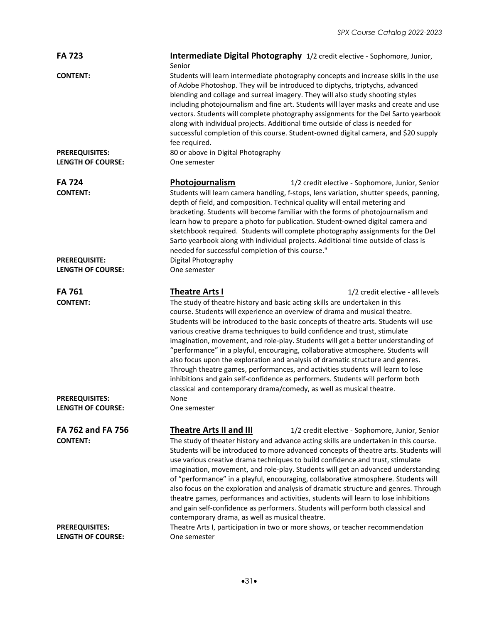| <b>FA 723</b>                                     | Intermediate Digital Photography 1/2 credit elective - Sophomore, Junior,<br>Senior                                                                                                                                                                                                                                                                                                                                                                                                                                                                                                                                                                                                                                                                                                                                                                                                                  |
|---------------------------------------------------|------------------------------------------------------------------------------------------------------------------------------------------------------------------------------------------------------------------------------------------------------------------------------------------------------------------------------------------------------------------------------------------------------------------------------------------------------------------------------------------------------------------------------------------------------------------------------------------------------------------------------------------------------------------------------------------------------------------------------------------------------------------------------------------------------------------------------------------------------------------------------------------------------|
| <b>CONTENT:</b>                                   | Students will learn intermediate photography concepts and increase skills in the use<br>of Adobe Photoshop. They will be introduced to diptychs, triptychs, advanced<br>blending and collage and surreal imagery. They will also study shooting styles<br>including photojournalism and fine art. Students will layer masks and create and use<br>vectors. Students will complete photography assignments for the Del Sarto yearbook<br>along with individual projects. Additional time outside of class is needed for<br>successful completion of this course. Student-owned digital camera, and \$20 supply<br>fee required.                                                                                                                                                                                                                                                                       |
| <b>PREREQUISITES:</b><br><b>LENGTH OF COURSE:</b> | 80 or above in Digital Photography<br>One semester                                                                                                                                                                                                                                                                                                                                                                                                                                                                                                                                                                                                                                                                                                                                                                                                                                                   |
| <b>FA 724</b><br><b>CONTENT:</b>                  | Photojournalism<br>1/2 credit elective - Sophomore, Junior, Senior<br>Students will learn camera handling, f-stops, lens variation, shutter speeds, panning,<br>depth of field, and composition. Technical quality will entail metering and<br>bracketing. Students will become familiar with the forms of photojournalism and<br>learn how to prepare a photo for publication. Student-owned digital camera and<br>sketchbook required. Students will complete photography assignments for the Del<br>Sarto yearbook along with individual projects. Additional time outside of class is<br>needed for successful completion of this course."                                                                                                                                                                                                                                                       |
| <b>PREREQUISITE:</b><br><b>LENGTH OF COURSE:</b>  | Digital Photography<br>One semester                                                                                                                                                                                                                                                                                                                                                                                                                                                                                                                                                                                                                                                                                                                                                                                                                                                                  |
| <b>FA 761</b><br><b>CONTENT:</b>                  | <b>Theatre Arts I</b><br>1/2 credit elective - all levels<br>The study of theatre history and basic acting skills are undertaken in this<br>course. Students will experience an overview of drama and musical theatre.<br>Students will be introduced to the basic concepts of theatre arts. Students will use<br>various creative drama techniques to build confidence and trust, stimulate<br>imagination, movement, and role-play. Students will get a better understanding of<br>"performance" in a playful, encouraging, collaborative atmosphere. Students will<br>also focus upon the exploration and analysis of dramatic structure and genres.<br>Through theatre games, performances, and activities students will learn to lose<br>inhibitions and gain self-confidence as performers. Students will perform both<br>classical and contemporary drama/comedy, as well as musical theatre. |
| <b>PREREOUISITES:</b><br><b>LENGTH OF COURSE:</b> | None<br>One semester                                                                                                                                                                                                                                                                                                                                                                                                                                                                                                                                                                                                                                                                                                                                                                                                                                                                                 |
| FA 762 and FA 756<br><b>CONTENT:</b>              | <b>Theatre Arts II and III</b><br>1/2 credit elective - Sophomore, Junior, Senior<br>The study of theater history and advance acting skills are undertaken in this course.<br>Students will be introduced to more advanced concepts of theatre arts. Students will<br>use various creative drama techniques to build confidence and trust, stimulate<br>imagination, movement, and role-play. Students will get an advanced understanding<br>of "performance" in a playful, encouraging, collaborative atmosphere. Students will<br>also focus on the exploration and analysis of dramatic structure and genres. Through<br>theatre games, performances and activities, students will learn to lose inhibitions<br>and gain self-confidence as performers. Students will perform both classical and<br>contemporary drama, as well as musical theatre.                                               |
| <b>PREREQUISITES:</b><br><b>LENGTH OF COURSE:</b> | Theatre Arts I, participation in two or more shows, or teacher recommendation<br>One semester                                                                                                                                                                                                                                                                                                                                                                                                                                                                                                                                                                                                                                                                                                                                                                                                        |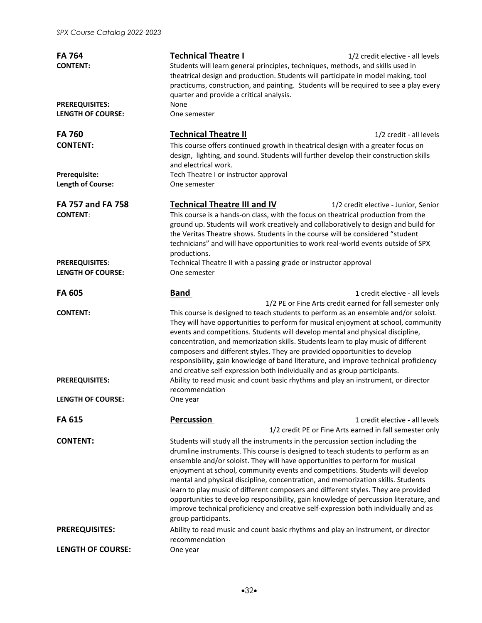| <b>FA 764</b><br><b>CONTENT:</b>                  | <b>Technical Theatre I</b><br>Students will learn general principles, techniques, methods, and skills used in<br>theatrical design and production. Students will participate in model making, tool<br>quarter and provide a critical analysis.                                                                                                                                                                                                                                                                                                                                                                               | 1/2 credit elective - all levels<br>practicums, construction, and painting. Students will be required to see a play every |
|---------------------------------------------------|------------------------------------------------------------------------------------------------------------------------------------------------------------------------------------------------------------------------------------------------------------------------------------------------------------------------------------------------------------------------------------------------------------------------------------------------------------------------------------------------------------------------------------------------------------------------------------------------------------------------------|---------------------------------------------------------------------------------------------------------------------------|
| <b>PREREQUISITES:</b><br><b>LENGTH OF COURSE:</b> | None<br>One semester                                                                                                                                                                                                                                                                                                                                                                                                                                                                                                                                                                                                         |                                                                                                                           |
| <b>FA 760</b><br><b>CONTENT:</b>                  | <b>Technical Theatre II</b><br>This course offers continued growth in theatrical design with a greater focus on<br>design, lighting, and sound. Students will further develop their construction skills<br>and electrical work.                                                                                                                                                                                                                                                                                                                                                                                              | 1/2 credit - all levels                                                                                                   |
| Prerequisite:<br>Length of Course:                | Tech Theatre I or instructor approval<br>One semester                                                                                                                                                                                                                                                                                                                                                                                                                                                                                                                                                                        |                                                                                                                           |
| FA 757 and FA 758<br><b>CONTENT:</b>              | <b>Technical Theatre III and IV</b><br>This course is a hands-on class, with the focus on theatrical production from the<br>ground up. Students will work creatively and collaboratively to design and build for<br>the Veritas Theatre shows. Students in the course will be considered "student<br>technicians" and will have opportunities to work real-world events outside of SPX<br>productions.                                                                                                                                                                                                                       | 1/2 credit elective - Junior, Senior                                                                                      |
| <b>PREREQUISITES:</b><br><b>LENGTH OF COURSE:</b> | Technical Theatre II with a passing grade or instructor approval<br>One semester                                                                                                                                                                                                                                                                                                                                                                                                                                                                                                                                             |                                                                                                                           |
| <b>FA 605</b>                                     | <b>Band</b>                                                                                                                                                                                                                                                                                                                                                                                                                                                                                                                                                                                                                  | 1 credit elective - all levels<br>1/2 PE or Fine Arts credit earned for fall semester only                                |
| <b>CONTENT:</b>                                   | This course is designed to teach students to perform as an ensemble and/or soloist.<br>events and competitions. Students will develop mental and physical discipline,<br>concentration, and memorization skills. Students learn to play music of different<br>composers and different styles. They are provided opportunities to develop<br>responsibility, gain knowledge of band literature, and improve technical proficiency<br>and creative self-expression both individually and as group participants.                                                                                                                | They will have opportunities to perform for musical enjoyment at school, community                                        |
| <b>PREREQUISITES:</b>                             | Ability to read music and count basic rhythms and play an instrument, or director<br>recommendation                                                                                                                                                                                                                                                                                                                                                                                                                                                                                                                          |                                                                                                                           |
| <b>LENGTH OF COURSE:</b>                          | One year                                                                                                                                                                                                                                                                                                                                                                                                                                                                                                                                                                                                                     |                                                                                                                           |
| FA 615                                            | Percussion                                                                                                                                                                                                                                                                                                                                                                                                                                                                                                                                                                                                                   | 1 credit elective - all levels<br>1/2 credit PE or Fine Arts earned in fall semester only                                 |
| <b>CONTENT:</b>                                   | Students will study all the instruments in the percussion section including the<br>drumline instruments. This course is designed to teach students to perform as an<br>ensemble and/or soloist. They will have opportunities to perform for musical<br>enjoyment at school, community events and competitions. Students will develop<br>mental and physical discipline, concentration, and memorization skills. Students<br>learn to play music of different composers and different styles. They are provided<br>improve technical proficiency and creative self-expression both individually and as<br>group participants. | opportunities to develop responsibility, gain knowledge of percussion literature, and                                     |
| <b>PREREQUISITES:</b>                             | Ability to read music and count basic rhythms and play an instrument, or director<br>recommendation                                                                                                                                                                                                                                                                                                                                                                                                                                                                                                                          |                                                                                                                           |
| <b>LENGTH OF COURSE:</b>                          | One year                                                                                                                                                                                                                                                                                                                                                                                                                                                                                                                                                                                                                     |                                                                                                                           |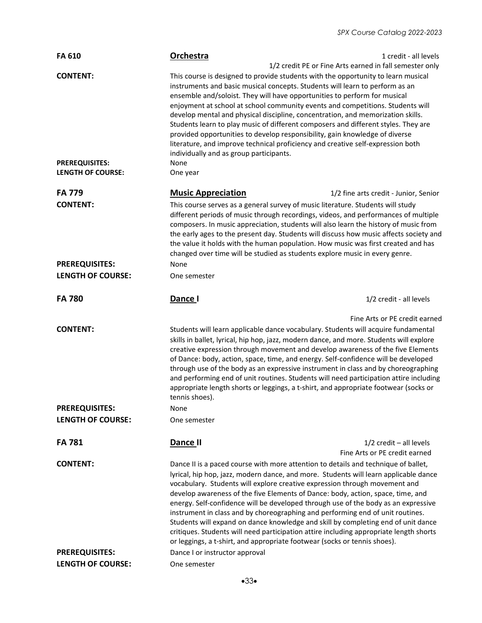| <b>FA 610</b>                                     | Orchestra                                                                                                                                                                                                                                                                                                                                                                                                                                                                                                                                                                                                                                                                                                                                                                                 | 1 credit - all levels                                      |
|---------------------------------------------------|-------------------------------------------------------------------------------------------------------------------------------------------------------------------------------------------------------------------------------------------------------------------------------------------------------------------------------------------------------------------------------------------------------------------------------------------------------------------------------------------------------------------------------------------------------------------------------------------------------------------------------------------------------------------------------------------------------------------------------------------------------------------------------------------|------------------------------------------------------------|
| <b>CONTENT:</b><br><b>PREREQUISITES:</b>          | 1/2 credit PE or Fine Arts earned in fall semester only<br>This course is designed to provide students with the opportunity to learn musical<br>instruments and basic musical concepts. Students will learn to perform as an<br>ensemble and/soloist. They will have opportunities to perform for musical<br>enjoyment at school at school community events and competitions. Students will<br>develop mental and physical discipline, concentration, and memorization skills.<br>Students learn to play music of different composers and different styles. They are<br>provided opportunities to develop responsibility, gain knowledge of diverse<br>literature, and improve technical proficiency and creative self-expression both<br>individually and as group participants.<br>None |                                                            |
| <b>LENGTH OF COURSE:</b>                          | One year                                                                                                                                                                                                                                                                                                                                                                                                                                                                                                                                                                                                                                                                                                                                                                                  |                                                            |
| <b>FA 779</b>                                     | <b>Music Appreciation</b>                                                                                                                                                                                                                                                                                                                                                                                                                                                                                                                                                                                                                                                                                                                                                                 | 1/2 fine arts credit - Junior, Senior                      |
| <b>CONTENT:</b>                                   | This course serves as a general survey of music literature. Students will study<br>different periods of music through recordings, videos, and performances of multiple<br>composers. In music appreciation, students will also learn the history of music from<br>the early ages to the present day. Students will discuss how music affects society and<br>the value it holds with the human population. How music was first created and has<br>changed over time will be studied as students explore music in every genre.                                                                                                                                                                                                                                                              |                                                            |
| <b>PREREQUISITES:</b>                             | None                                                                                                                                                                                                                                                                                                                                                                                                                                                                                                                                                                                                                                                                                                                                                                                      |                                                            |
| <b>LENGTH OF COURSE:</b>                          | One semester                                                                                                                                                                                                                                                                                                                                                                                                                                                                                                                                                                                                                                                                                                                                                                              |                                                            |
| <b>FA 780</b>                                     | Dance I                                                                                                                                                                                                                                                                                                                                                                                                                                                                                                                                                                                                                                                                                                                                                                                   | 1/2 credit - all levels                                    |
|                                                   |                                                                                                                                                                                                                                                                                                                                                                                                                                                                                                                                                                                                                                                                                                                                                                                           |                                                            |
| <b>CONTENT:</b>                                   | Students will learn applicable dance vocabulary. Students will acquire fundamental<br>skills in ballet, lyrical, hip hop, jazz, modern dance, and more. Students will explore<br>creative expression through movement and develop awareness of the five Elements<br>of Dance: body, action, space, time, and energy. Self-confidence will be developed<br>through use of the body as an expressive instrument in class and by choreographing<br>and performing end of unit routines. Students will need participation attire including<br>appropriate length shorts or leggings, a t-shirt, and appropriate footwear (socks or<br>tennis shoes).                                                                                                                                          | Fine Arts or PE credit earned                              |
| <b>PREREQUISITES:</b>                             | None                                                                                                                                                                                                                                                                                                                                                                                                                                                                                                                                                                                                                                                                                                                                                                                      |                                                            |
| <b>LENGTH OF COURSE:</b>                          | One semester                                                                                                                                                                                                                                                                                                                                                                                                                                                                                                                                                                                                                                                                                                                                                                              |                                                            |
| <b>FA 781</b>                                     | Dance II                                                                                                                                                                                                                                                                                                                                                                                                                                                                                                                                                                                                                                                                                                                                                                                  | $1/2$ credit - all levels<br>Fine Arts or PE credit earned |
| <b>CONTENT:</b>                                   | Dance II is a paced course with more attention to details and technique of ballet,<br>lyrical, hip hop, jazz, modern dance, and more. Students will learn applicable dance<br>vocabulary. Students will explore creative expression through movement and<br>develop awareness of the five Elements of Dance: body, action, space, time, and<br>energy. Self-confidence will be developed through use of the body as an expressive<br>instrument in class and by choreographing and performing end of unit routines.<br>Students will expand on dance knowledge and skill by completing end of unit dance<br>critiques. Students will need participation attire including appropriate length shorts<br>or leggings, a t-shirt, and appropriate footwear (socks or tennis shoes).           |                                                            |
| <b>PREREQUISITES:</b><br><b>LENGTH OF COURSE:</b> | Dance I or instructor approval                                                                                                                                                                                                                                                                                                                                                                                                                                                                                                                                                                                                                                                                                                                                                            |                                                            |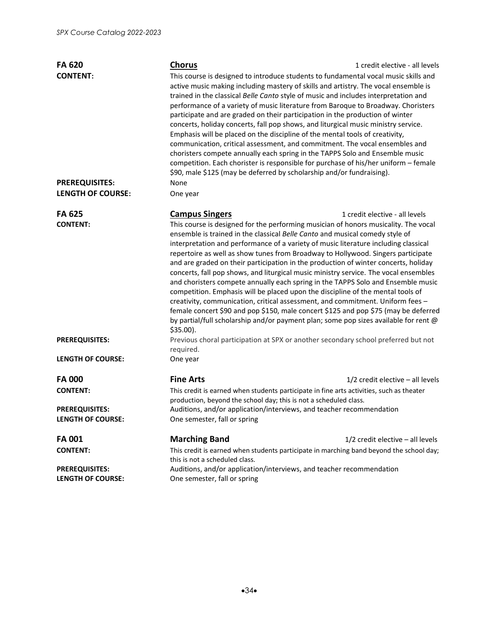| <b>FA 620</b>            | <b>Chorus</b>                                                                                                                                                                                                                                                                                                                                                                                                                                                                                                                                                                                                                                                                                                                                                                                                                                                                                                                                | 1 credit elective - all levels                                                      |
|--------------------------|----------------------------------------------------------------------------------------------------------------------------------------------------------------------------------------------------------------------------------------------------------------------------------------------------------------------------------------------------------------------------------------------------------------------------------------------------------------------------------------------------------------------------------------------------------------------------------------------------------------------------------------------------------------------------------------------------------------------------------------------------------------------------------------------------------------------------------------------------------------------------------------------------------------------------------------------|-------------------------------------------------------------------------------------|
| <b>CONTENT:</b>          | This course is designed to introduce students to fundamental vocal music skills and<br>active music making including mastery of skills and artistry. The vocal ensemble is<br>trained in the classical Belle Canto style of music and includes interpretation and<br>performance of a variety of music literature from Baroque to Broadway. Choristers<br>participate and are graded on their participation in the production of winter<br>concerts, holiday concerts, fall pop shows, and liturgical music ministry service.<br>Emphasis will be placed on the discipline of the mental tools of creativity,<br>communication, critical assessment, and commitment. The vocal ensembles and<br>choristers compete annually each spring in the TAPPS Solo and Ensemble music<br>competition. Each chorister is responsible for purchase of his/her uniform - female<br>\$90, male \$125 (may be deferred by scholarship and/or fundraising). |                                                                                     |
| <b>PREREQUISITES:</b>    | None                                                                                                                                                                                                                                                                                                                                                                                                                                                                                                                                                                                                                                                                                                                                                                                                                                                                                                                                         |                                                                                     |
| <b>LENGTH OF COURSE:</b> | One year                                                                                                                                                                                                                                                                                                                                                                                                                                                                                                                                                                                                                                                                                                                                                                                                                                                                                                                                     |                                                                                     |
| <b>FA 625</b>            | <b>Campus Singers</b>                                                                                                                                                                                                                                                                                                                                                                                                                                                                                                                                                                                                                                                                                                                                                                                                                                                                                                                        | 1 credit elective - all levels                                                      |
| <b>CONTENT:</b>          | This course is designed for the performing musician of honors musicality. The vocal<br>ensemble is trained in the classical Belle Canto and musical comedy style of<br>interpretation and performance of a variety of music literature including classical<br>repertoire as well as show tunes from Broadway to Hollywood. Singers participate<br>and are graded on their participation in the production of winter concerts, holiday<br>concerts, fall pop shows, and liturgical music ministry service. The vocal ensembles<br>and choristers compete annually each spring in the TAPPS Solo and Ensemble music<br>competition. Emphasis will be placed upon the discipline of the mental tools of<br>creativity, communication, critical assessment, and commitment. Uniform fees -<br>by partial/full scholarship and/or payment plan; some pop sizes available for rent @<br>$$35.00$ ).                                                | female concert \$90 and pop \$150, male concert \$125 and pop \$75 (may be deferred |
| <b>PREREQUISITES:</b>    | Previous choral participation at SPX or another secondary school preferred but not<br>required.                                                                                                                                                                                                                                                                                                                                                                                                                                                                                                                                                                                                                                                                                                                                                                                                                                              |                                                                                     |
| <b>LENGTH OF COURSE:</b> | One year                                                                                                                                                                                                                                                                                                                                                                                                                                                                                                                                                                                                                                                                                                                                                                                                                                                                                                                                     |                                                                                     |
| <b>FA000</b>             | <b>Fine Arts</b>                                                                                                                                                                                                                                                                                                                                                                                                                                                                                                                                                                                                                                                                                                                                                                                                                                                                                                                             | $1/2$ credit elective - all levels                                                  |
| <b>CONTENT:</b>          | This credit is earned when students participate in fine arts activities, such as theater<br>production, beyond the school day; this is not a scheduled class.                                                                                                                                                                                                                                                                                                                                                                                                                                                                                                                                                                                                                                                                                                                                                                                |                                                                                     |
| <b>PREREQUISITES:</b>    | Auditions, and/or application/interviews, and teacher recommendation                                                                                                                                                                                                                                                                                                                                                                                                                                                                                                                                                                                                                                                                                                                                                                                                                                                                         |                                                                                     |
| <b>LENGTH OF COURSE:</b> | One semester, fall or spring                                                                                                                                                                                                                                                                                                                                                                                                                                                                                                                                                                                                                                                                                                                                                                                                                                                                                                                 |                                                                                     |
| <b>FA001</b>             | <b>Marching Band</b>                                                                                                                                                                                                                                                                                                                                                                                                                                                                                                                                                                                                                                                                                                                                                                                                                                                                                                                         | $1/2$ credit elective - all levels                                                  |
| <b>CONTENT:</b>          | This credit is earned when students participate in marching band beyond the school day;<br>this is not a scheduled class.                                                                                                                                                                                                                                                                                                                                                                                                                                                                                                                                                                                                                                                                                                                                                                                                                    |                                                                                     |
| <b>PREREQUISITES:</b>    | Auditions, and/or application/interviews, and teacher recommendation                                                                                                                                                                                                                                                                                                                                                                                                                                                                                                                                                                                                                                                                                                                                                                                                                                                                         |                                                                                     |
| <b>LENGTH OF COURSE:</b> | One semester, fall or spring                                                                                                                                                                                                                                                                                                                                                                                                                                                                                                                                                                                                                                                                                                                                                                                                                                                                                                                 |                                                                                     |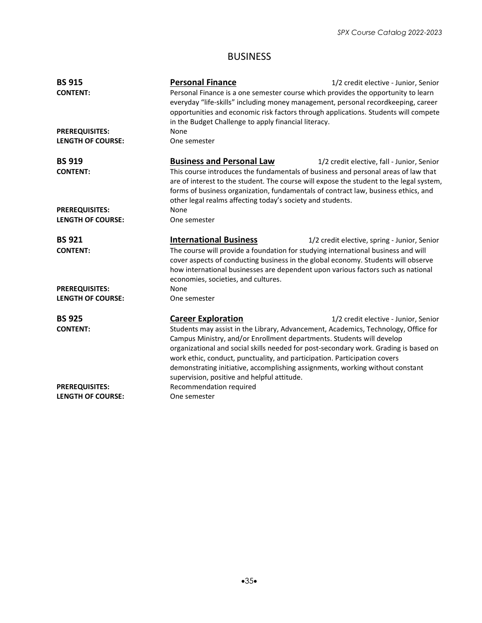### BUSINESS

| <b>BS 915</b>            | <b>Personal Finance</b>                                                                                                                                                                                                                                                                                                           | 1/2 credit elective - Junior, Senior         |
|--------------------------|-----------------------------------------------------------------------------------------------------------------------------------------------------------------------------------------------------------------------------------------------------------------------------------------------------------------------------------|----------------------------------------------|
| <b>CONTENT:</b>          | Personal Finance is a one semester course which provides the opportunity to learn<br>everyday "life-skills" including money management, personal recordkeeping, career<br>opportunities and economic risk factors through applications. Students will compete<br>in the Budget Challenge to apply financial literacy.             |                                              |
| <b>PREREQUISITES:</b>    | None                                                                                                                                                                                                                                                                                                                              |                                              |
| <b>LENGTH OF COURSE:</b> | One semester                                                                                                                                                                                                                                                                                                                      |                                              |
| <b>BS 919</b>            | <b>Business and Personal Law</b>                                                                                                                                                                                                                                                                                                  | 1/2 credit elective, fall - Junior, Senior   |
| <b>CONTENT:</b>          | This course introduces the fundamentals of business and personal areas of law that<br>are of interest to the student. The course will expose the student to the legal system,<br>forms of business organization, fundamentals of contract law, business ethics, and<br>other legal realms affecting today's society and students. |                                              |
| <b>PREREQUISITES:</b>    | None                                                                                                                                                                                                                                                                                                                              |                                              |
| <b>LENGTH OF COURSE:</b> | One semester                                                                                                                                                                                                                                                                                                                      |                                              |
| <b>BS 921</b>            | <b>International Business</b>                                                                                                                                                                                                                                                                                                     | 1/2 credit elective, spring - Junior, Senior |
| <b>CONTENT:</b>          | The course will provide a foundation for studying international business and will<br>cover aspects of conducting business in the global economy. Students will observe<br>how international businesses are dependent upon various factors such as national<br>economies, societies, and cultures.                                 |                                              |
| <b>PREREQUISITES:</b>    | None                                                                                                                                                                                                                                                                                                                              |                                              |
| <b>LENGTH OF COURSE:</b> | One semester                                                                                                                                                                                                                                                                                                                      |                                              |
| <b>BS 925</b>            | <b>Career Exploration</b>                                                                                                                                                                                                                                                                                                         | 1/2 credit elective - Junior, Senior         |
| <b>CONTENT:</b>          | Students may assist in the Library, Advancement, Academics, Technology, Office for<br>Campus Ministry, and/or Enrollment departments. Students will develop<br>organizational and social skills needed for post-secondary work. Grading is based on<br>work ethic, conduct, punctuality, and participation. Participation covers  |                                              |
|                          | demonstrating initiative, accomplishing assignments, working without constant<br>supervision, positive and helpful attitude.                                                                                                                                                                                                      |                                              |
| <b>PREREQUISITES:</b>    | Recommendation required                                                                                                                                                                                                                                                                                                           |                                              |
| <b>LENGTH OF COURSE:</b> | One semester                                                                                                                                                                                                                                                                                                                      |                                              |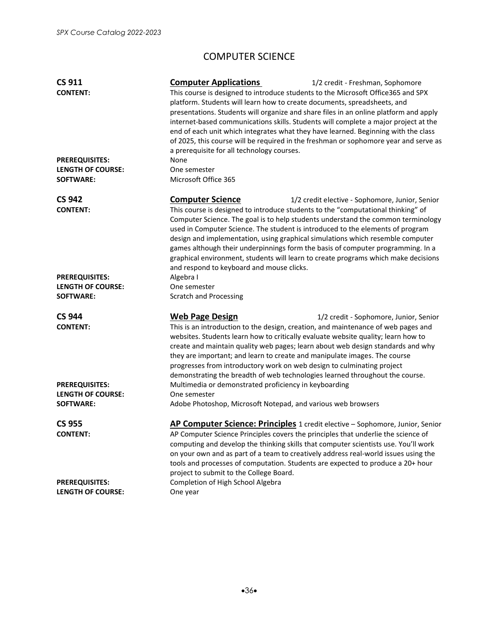# COMPUTER SCIENCE

| <b>CS 911</b><br><b>CONTENT:</b> | <b>Computer Applications</b><br>1/2 credit - Freshman, Sophomore<br>This course is designed to introduce students to the Microsoft Office365 and SPX<br>platform. Students will learn how to create documents, spreadsheets, and<br>presentations. Students will organize and share files in an online platform and apply<br>internet-based communications skills. Students will complete a major project at the<br>end of each unit which integrates what they have learned. Beginning with the class<br>of 2025, this course will be required in the freshman or sophomore year and serve as<br>a prerequisite for all technology courses. |
|----------------------------------|----------------------------------------------------------------------------------------------------------------------------------------------------------------------------------------------------------------------------------------------------------------------------------------------------------------------------------------------------------------------------------------------------------------------------------------------------------------------------------------------------------------------------------------------------------------------------------------------------------------------------------------------|
| <b>PREREQUISITES:</b>            | None                                                                                                                                                                                                                                                                                                                                                                                                                                                                                                                                                                                                                                         |
| <b>LENGTH OF COURSE:</b>         | One semester                                                                                                                                                                                                                                                                                                                                                                                                                                                                                                                                                                                                                                 |
| <b>SOFTWARE:</b>                 | Microsoft Office 365                                                                                                                                                                                                                                                                                                                                                                                                                                                                                                                                                                                                                         |
| <b>CS 942</b>                    | <b>Computer Science</b><br>1/2 credit elective - Sophomore, Junior, Senior                                                                                                                                                                                                                                                                                                                                                                                                                                                                                                                                                                   |
| <b>CONTENT:</b>                  | This course is designed to introduce students to the "computational thinking" of<br>Computer Science. The goal is to help students understand the common terminology<br>used in Computer Science. The student is introduced to the elements of program<br>design and implementation, using graphical simulations which resemble computer<br>games although their underpinnings form the basis of computer programming. In a<br>graphical environment, students will learn to create programs which make decisions<br>and respond to keyboard and mouse clicks.                                                                               |
| <b>PREREQUISITES:</b>            | Algebra I                                                                                                                                                                                                                                                                                                                                                                                                                                                                                                                                                                                                                                    |
| <b>LENGTH OF COURSE:</b>         | One semester                                                                                                                                                                                                                                                                                                                                                                                                                                                                                                                                                                                                                                 |
| <b>SOFTWARE:</b>                 | <b>Scratch and Processing</b>                                                                                                                                                                                                                                                                                                                                                                                                                                                                                                                                                                                                                |
| <b>CS 944</b><br><b>CONTENT:</b> | <b>Web Page Design</b><br>1/2 credit - Sophomore, Junior, Senior<br>This is an introduction to the design, creation, and maintenance of web pages and<br>websites. Students learn how to critically evaluate website quality; learn how to<br>create and maintain quality web pages; learn about web design standards and why<br>they are important; and learn to create and manipulate images. The course<br>progresses from introductory work on web design to culminating project<br>demonstrating the breadth of web technologies learned throughout the course.                                                                         |
| <b>PREREQUISITES:</b>            | Multimedia or demonstrated proficiency in keyboarding                                                                                                                                                                                                                                                                                                                                                                                                                                                                                                                                                                                        |
| <b>LENGTH OF COURSE:</b>         | One semester                                                                                                                                                                                                                                                                                                                                                                                                                                                                                                                                                                                                                                 |
| <b>SOFTWARE:</b>                 | Adobe Photoshop, Microsoft Notepad, and various web browsers                                                                                                                                                                                                                                                                                                                                                                                                                                                                                                                                                                                 |
| <b>CS 955</b>                    | AP Computer Science: Principles 1 credit elective - Sophomore, Junior, Senior                                                                                                                                                                                                                                                                                                                                                                                                                                                                                                                                                                |
| <b>CONTENT:</b>                  | AP Computer Science Principles covers the principles that underlie the science of<br>computing and develop the thinking skills that computer scientists use. You'll work<br>on your own and as part of a team to creatively address real-world issues using the<br>tools and processes of computation. Students are expected to produce a 20+ hour<br>project to submit to the College Board.                                                                                                                                                                                                                                                |
| <b>PREREQUISITES:</b>            | Completion of High School Algebra                                                                                                                                                                                                                                                                                                                                                                                                                                                                                                                                                                                                            |
| <b>LENGTH OF COURSE:</b>         | One year                                                                                                                                                                                                                                                                                                                                                                                                                                                                                                                                                                                                                                     |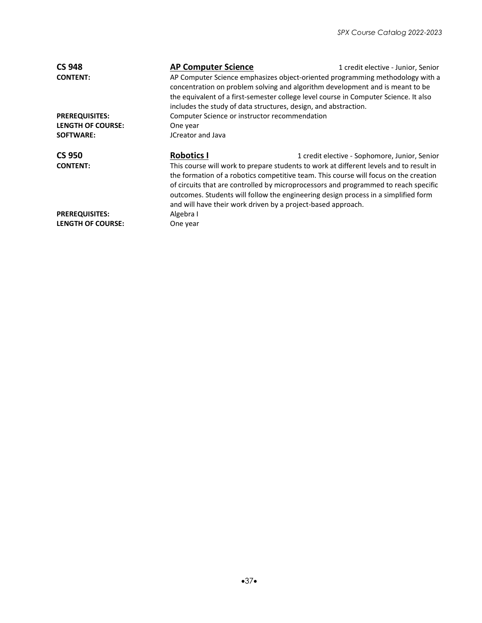| <b>CS 948</b>            | <b>AP Computer Science</b>                                                                                                                                                                                                                                                                                                                                                                                                  | 1 credit elective - Junior, Senior                                                                                                                                                                                                                                                                                        |  |
|--------------------------|-----------------------------------------------------------------------------------------------------------------------------------------------------------------------------------------------------------------------------------------------------------------------------------------------------------------------------------------------------------------------------------------------------------------------------|---------------------------------------------------------------------------------------------------------------------------------------------------------------------------------------------------------------------------------------------------------------------------------------------------------------------------|--|
| <b>CONTENT:</b>          |                                                                                                                                                                                                                                                                                                                                                                                                                             | AP Computer Science emphasizes object-oriented programming methodology with a<br>concentration on problem solving and algorithm development and is meant to be<br>the equivalent of a first-semester college level course in Computer Science. It also<br>includes the study of data structures, design, and abstraction. |  |
| <b>PREREQUISITES:</b>    | Computer Science or instructor recommendation                                                                                                                                                                                                                                                                                                                                                                               |                                                                                                                                                                                                                                                                                                                           |  |
| <b>LENGTH OF COURSE:</b> | One year                                                                                                                                                                                                                                                                                                                                                                                                                    |                                                                                                                                                                                                                                                                                                                           |  |
| <b>SOFTWARE:</b>         | JCreator and Java                                                                                                                                                                                                                                                                                                                                                                                                           |                                                                                                                                                                                                                                                                                                                           |  |
| <b>CS 950</b>            | <b>Robotics I</b>                                                                                                                                                                                                                                                                                                                                                                                                           | 1 credit elective - Sophomore, Junior, Senior                                                                                                                                                                                                                                                                             |  |
| <b>CONTENT:</b>          | This course will work to prepare students to work at different levels and to result in<br>the formation of a robotics competitive team. This course will focus on the creation<br>of circuits that are controlled by microprocessors and programmed to reach specific<br>outcomes. Students will follow the engineering design process in a simplified form<br>and will have their work driven by a project-based approach. |                                                                                                                                                                                                                                                                                                                           |  |
| <b>PREREQUISITES:</b>    | Algebra I                                                                                                                                                                                                                                                                                                                                                                                                                   |                                                                                                                                                                                                                                                                                                                           |  |
| <b>LENGTH OF COURSE:</b> | One year                                                                                                                                                                                                                                                                                                                                                                                                                    |                                                                                                                                                                                                                                                                                                                           |  |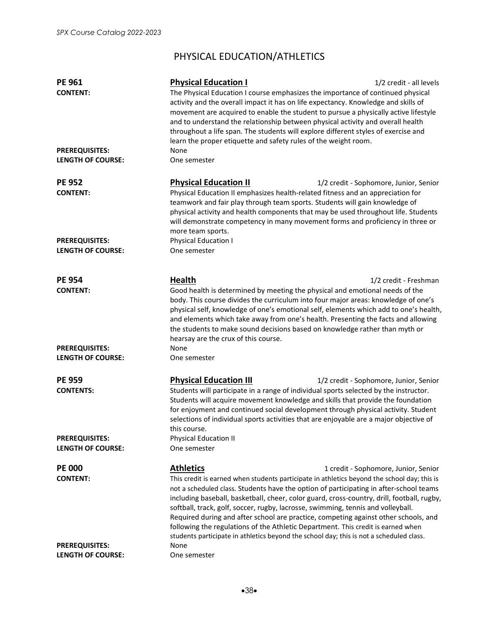# PHYSICAL EDUCATION/ATHLETICS

| <b>PE 961</b><br><b>CONTENT:</b>                  | <b>Physical Education I</b><br>The Physical Education I course emphasizes the importance of continued physical<br>activity and the overall impact it has on life expectancy. Knowledge and skills of<br>movement are acquired to enable the student to pursue a physically active lifestyle<br>and to understand the relationship between physical activity and overall health<br>throughout a life span. The students will explore different styles of exercise and<br>learn the proper etiquette and safety rules of the weight room.                                                                                                                           | 1/2 credit - all levels                |
|---------------------------------------------------|-------------------------------------------------------------------------------------------------------------------------------------------------------------------------------------------------------------------------------------------------------------------------------------------------------------------------------------------------------------------------------------------------------------------------------------------------------------------------------------------------------------------------------------------------------------------------------------------------------------------------------------------------------------------|----------------------------------------|
| <b>PREREQUISITES:</b><br><b>LENGTH OF COURSE:</b> | None<br>One semester                                                                                                                                                                                                                                                                                                                                                                                                                                                                                                                                                                                                                                              |                                        |
| <b>PE 952</b><br><b>CONTENT:</b>                  | <b>Physical Education II</b><br>Physical Education II emphasizes health-related fitness and an appreciation for<br>teamwork and fair play through team sports. Students will gain knowledge of<br>physical activity and health components that may be used throughout life. Students<br>will demonstrate competency in many movement forms and proficiency in three or<br>more team sports.                                                                                                                                                                                                                                                                       | 1/2 credit - Sophomore, Junior, Senior |
| <b>PREREQUISITES:</b><br><b>LENGTH OF COURSE:</b> | <b>Physical Education I</b><br>One semester                                                                                                                                                                                                                                                                                                                                                                                                                                                                                                                                                                                                                       |                                        |
| <b>PE 954</b><br><b>CONTENT:</b>                  | <b>Health</b><br>Good health is determined by meeting the physical and emotional needs of the<br>body. This course divides the curriculum into four major areas: knowledge of one's<br>physical self, knowledge of one's emotional self, elements which add to one's health,<br>and elements which take away from one's health. Presenting the facts and allowing<br>the students to make sound decisions based on knowledge rather than myth or                                                                                                                                                                                                                  | 1/2 credit - Freshman                  |
| <b>PREREQUISITES:</b><br><b>LENGTH OF COURSE:</b> | hearsay are the crux of this course.<br>None<br>One semester                                                                                                                                                                                                                                                                                                                                                                                                                                                                                                                                                                                                      |                                        |
| <b>PE 959</b><br><b>CONTENTS:</b>                 | <b>Physical Education III</b><br>Students will participate in a range of individual sports selected by the instructor.<br>Students will acquire movement knowledge and skills that provide the foundation<br>for enjoyment and continued social development through physical activity. Student<br>selections of individual sports activities that are enjoyable are a major objective of<br>this course.                                                                                                                                                                                                                                                          | 1/2 credit - Sophomore, Junior, Senior |
| <b>PREREQUISITES:</b><br><b>LENGTH OF COURSE:</b> | <b>Physical Education II</b><br>One semester                                                                                                                                                                                                                                                                                                                                                                                                                                                                                                                                                                                                                      |                                        |
| <b>PE 000</b><br><b>CONTENT:</b>                  | <b>Athletics</b><br>This credit is earned when students participate in athletics beyond the school day; this is<br>not a scheduled class. Students have the option of participating in after-school teams<br>including baseball, basketball, cheer, color guard, cross-country, drill, football, rugby,<br>softball, track, golf, soccer, rugby, lacrosse, swimming, tennis and volleyball.<br>Required during and after school are practice, competing against other schools, and<br>following the regulations of the Athletic Department. This credit is earned when<br>students participate in athletics beyond the school day; this is not a scheduled class. | 1 credit - Sophomore, Junior, Senior   |
| <b>PREREQUISITES:</b><br><b>LENGTH OF COURSE:</b> | None<br>One semester                                                                                                                                                                                                                                                                                                                                                                                                                                                                                                                                                                                                                                              |                                        |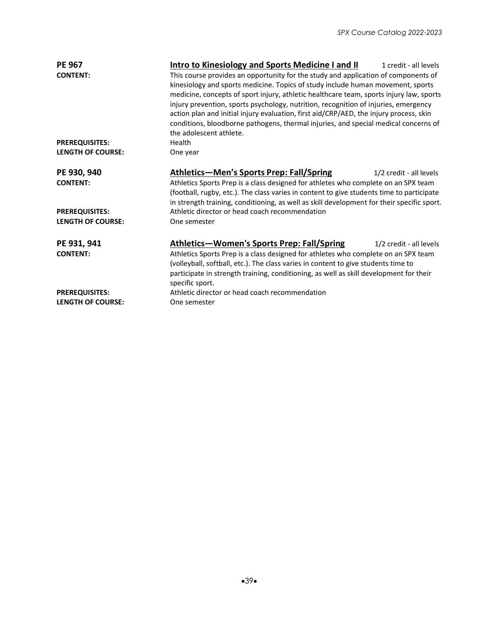| <b>PE 967</b>            | <b>Intro to Kinesiology and Sports Medicine I and II</b>                                                                                                                                                                                                                              | 1 credit - all levels                                                                                                                                                                                                                                                                                                                                                                                                                                                                                                                    |  |  |
|--------------------------|---------------------------------------------------------------------------------------------------------------------------------------------------------------------------------------------------------------------------------------------------------------------------------------|------------------------------------------------------------------------------------------------------------------------------------------------------------------------------------------------------------------------------------------------------------------------------------------------------------------------------------------------------------------------------------------------------------------------------------------------------------------------------------------------------------------------------------------|--|--|
| <b>CONTENT:</b>          |                                                                                                                                                                                                                                                                                       | This course provides an opportunity for the study and application of components of<br>kinesiology and sports medicine. Topics of study include human movement, sports<br>medicine, concepts of sport injury, athletic healthcare team, sports injury law, sports<br>injury prevention, sports psychology, nutrition, recognition of injuries, emergency<br>action plan and initial injury evaluation, first aid/CRP/AED, the injury process, skin<br>conditions, bloodborne pathogens, thermal injuries, and special medical concerns of |  |  |
|                          | the adolescent athlete.                                                                                                                                                                                                                                                               |                                                                                                                                                                                                                                                                                                                                                                                                                                                                                                                                          |  |  |
| <b>PREREQUISITES:</b>    | Health                                                                                                                                                                                                                                                                                |                                                                                                                                                                                                                                                                                                                                                                                                                                                                                                                                          |  |  |
| <b>LENGTH OF COURSE:</b> | One year                                                                                                                                                                                                                                                                              |                                                                                                                                                                                                                                                                                                                                                                                                                                                                                                                                          |  |  |
| PE 930, 940              | <b>Athletics-Men's Sports Prep: Fall/Spring</b>                                                                                                                                                                                                                                       | 1/2 credit - all levels                                                                                                                                                                                                                                                                                                                                                                                                                                                                                                                  |  |  |
| <b>CONTENT:</b>          | Athletics Sports Prep is a class designed for athletes who complete on an SPX team<br>(football, rugby, etc.). The class varies in content to give students time to participate<br>in strength training, conditioning, as well as skill development for their specific sport.         |                                                                                                                                                                                                                                                                                                                                                                                                                                                                                                                                          |  |  |
| <b>PREREQUISITES:</b>    | Athletic director or head coach recommendation                                                                                                                                                                                                                                        |                                                                                                                                                                                                                                                                                                                                                                                                                                                                                                                                          |  |  |
| <b>LENGTH OF COURSE:</b> | One semester                                                                                                                                                                                                                                                                          |                                                                                                                                                                                                                                                                                                                                                                                                                                                                                                                                          |  |  |
| PE 931, 941              | Athletics—Women's Sports Prep: Fall/Spring                                                                                                                                                                                                                                            | 1/2 credit - all levels                                                                                                                                                                                                                                                                                                                                                                                                                                                                                                                  |  |  |
| <b>CONTENT:</b>          | Athletics Sports Prep is a class designed for athletes who complete on an SPX team<br>(volleyball, softball, etc.). The class varies in content to give students time to<br>participate in strength training, conditioning, as well as skill development for their<br>specific sport. |                                                                                                                                                                                                                                                                                                                                                                                                                                                                                                                                          |  |  |
| <b>PREREQUISITES:</b>    | Athletic director or head coach recommendation                                                                                                                                                                                                                                        |                                                                                                                                                                                                                                                                                                                                                                                                                                                                                                                                          |  |  |
| <b>LENGTH OF COURSE:</b> | One semester                                                                                                                                                                                                                                                                          |                                                                                                                                                                                                                                                                                                                                                                                                                                                                                                                                          |  |  |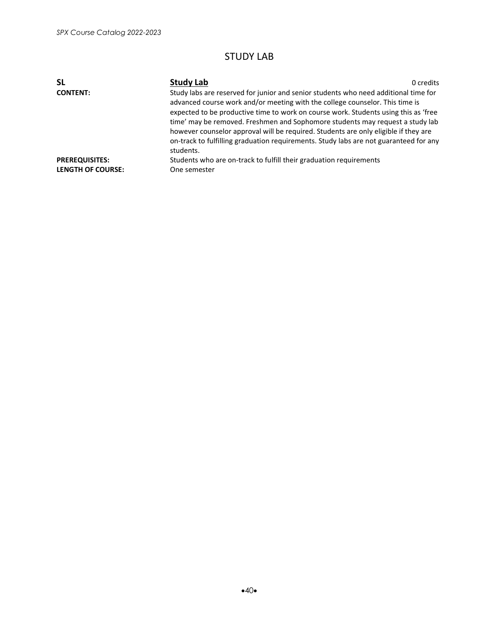### STUDY LAB

| <b>SL</b>                                         | <b>Study Lab</b>                                                                                                                                                                                                                                                                                                                                                  | 0 credits |
|---------------------------------------------------|-------------------------------------------------------------------------------------------------------------------------------------------------------------------------------------------------------------------------------------------------------------------------------------------------------------------------------------------------------------------|-----------|
| <b>CONTENT:</b>                                   | Study labs are reserved for junior and senior students who need additional time for<br>advanced course work and/or meeting with the college counselor. This time is                                                                                                                                                                                               |           |
|                                                   | expected to be productive time to work on course work. Students using this as 'free<br>time' may be removed. Freshmen and Sophomore students may request a study lab<br>however counselor approval will be required. Students are only eligible if they are<br>on-track to fulfilling graduation requirements. Study labs are not guaranteed for any<br>students. |           |
| <b>PREREQUISITES:</b><br><b>LENGTH OF COURSE:</b> | Students who are on-track to fulfill their graduation requirements<br>One semester                                                                                                                                                                                                                                                                                |           |